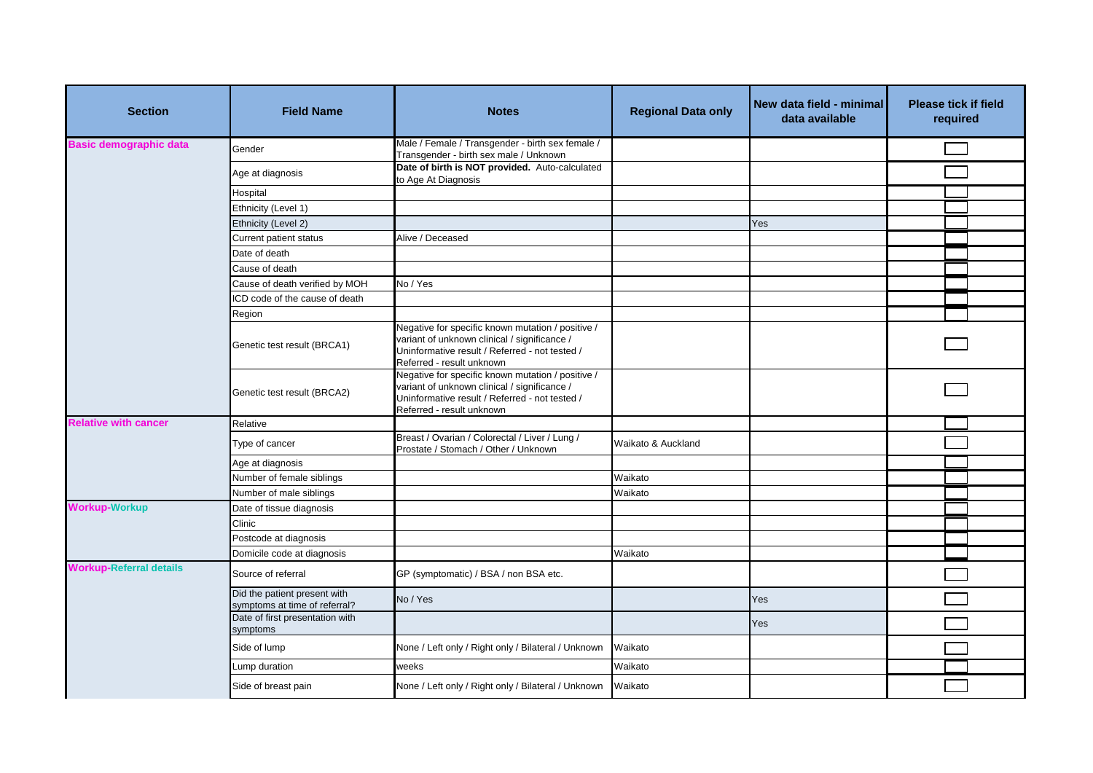| <b>Section</b>                 | <b>Field Name</b>                                             | <b>Notes</b>                                                                                                                                                                     | <b>Regional Data only</b> | New data field - minimal<br>data available | <b>Please tick if field</b><br>required |  |
|--------------------------------|---------------------------------------------------------------|----------------------------------------------------------------------------------------------------------------------------------------------------------------------------------|---------------------------|--------------------------------------------|-----------------------------------------|--|
| <b>Basic demographic data</b>  | Gender                                                        | Male / Female / Transgender - birth sex female /<br>Transgender - birth sex male / Unknown                                                                                       |                           |                                            |                                         |  |
|                                | Age at diagnosis                                              | Date of birth is NOT provided. Auto-calculated<br>to Age At Diagnosis                                                                                                            |                           |                                            |                                         |  |
|                                | Hospital                                                      |                                                                                                                                                                                  |                           |                                            |                                         |  |
|                                | Ethnicity (Level 1)                                           |                                                                                                                                                                                  |                           |                                            |                                         |  |
|                                | Ethnicity (Level 2)                                           |                                                                                                                                                                                  |                           | Yes                                        |                                         |  |
|                                | Current patient status                                        | Alive / Deceased                                                                                                                                                                 |                           |                                            |                                         |  |
|                                | Date of death                                                 |                                                                                                                                                                                  |                           |                                            |                                         |  |
|                                | Cause of death                                                |                                                                                                                                                                                  |                           |                                            |                                         |  |
|                                | Cause of death verified by MOH                                | No / Yes                                                                                                                                                                         |                           |                                            |                                         |  |
|                                | ICD code of the cause of death                                |                                                                                                                                                                                  |                           |                                            |                                         |  |
|                                | Region                                                        |                                                                                                                                                                                  |                           |                                            |                                         |  |
|                                | Genetic test result (BRCA1)                                   | Negative for specific known mutation / positive /<br>variant of unknown clinical / significance /<br>Uninformative result / Referred - not tested /<br>Referred - result unknown |                           |                                            |                                         |  |
|                                | Genetic test result (BRCA2)                                   | Negative for specific known mutation / positive /<br>variant of unknown clinical / significance /<br>Uninformative result / Referred - not tested /<br>Referred - result unknown |                           |                                            |                                         |  |
| <b>Relative with cancer</b>    | Relative                                                      |                                                                                                                                                                                  |                           |                                            |                                         |  |
|                                | Type of cancer                                                | Breast / Ovarian / Colorectal / Liver / Lung /<br>Prostate / Stomach / Other / Unknown                                                                                           | Waikato & Auckland        |                                            |                                         |  |
|                                | Age at diagnosis                                              |                                                                                                                                                                                  |                           |                                            |                                         |  |
|                                | Number of female siblings                                     |                                                                                                                                                                                  | Waikato                   |                                            |                                         |  |
|                                | Number of male siblings                                       |                                                                                                                                                                                  | Waikato                   |                                            |                                         |  |
| <b>Workup-Workup</b>           | Date of tissue diagnosis                                      |                                                                                                                                                                                  |                           |                                            |                                         |  |
|                                | Clinic                                                        |                                                                                                                                                                                  |                           |                                            |                                         |  |
|                                | Postcode at diagnosis                                         |                                                                                                                                                                                  |                           |                                            |                                         |  |
|                                | Domicile code at diagnosis                                    |                                                                                                                                                                                  | Waikato                   |                                            |                                         |  |
| <b>Workup-Referral details</b> | Source of referral                                            | GP (symptomatic) / BSA / non BSA etc.                                                                                                                                            |                           |                                            |                                         |  |
|                                | Did the patient present with<br>symptoms at time of referral? | No / Yes                                                                                                                                                                         |                           | Yes                                        |                                         |  |
|                                | Date of first presentation with<br>symptoms                   |                                                                                                                                                                                  |                           | Yes                                        |                                         |  |
|                                | Side of lump                                                  | None / Left only / Right only / Bilateral / Unknown                                                                                                                              | Waikato                   |                                            |                                         |  |
|                                | Lump duration                                                 | weeks                                                                                                                                                                            | Waikato                   |                                            |                                         |  |
|                                | Side of breast pain                                           | None / Left only / Right only / Bilateral / Unknown                                                                                                                              | Waikato                   |                                            |                                         |  |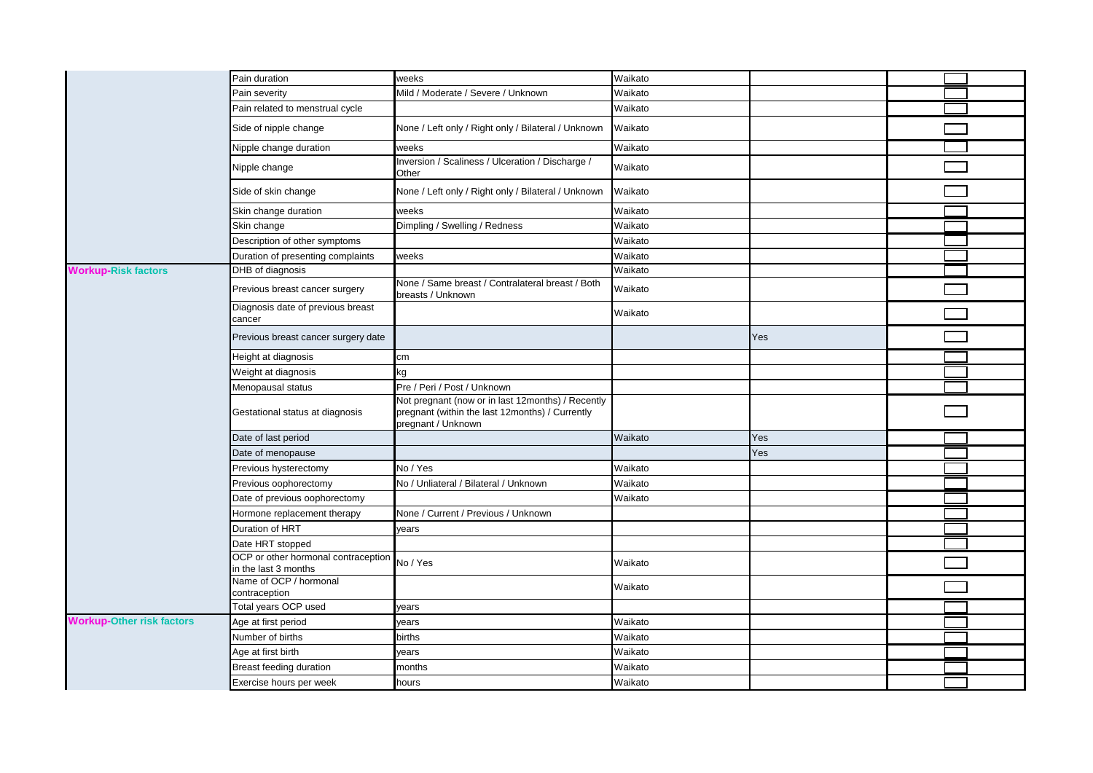|                                  | Pain duration                                               | weeks                                                                                                                      | Waikato |     |  |
|----------------------------------|-------------------------------------------------------------|----------------------------------------------------------------------------------------------------------------------------|---------|-----|--|
|                                  | Pain severity                                               | Mild / Moderate / Severe / Unknown                                                                                         | Waikato |     |  |
|                                  | Pain related to menstrual cycle                             |                                                                                                                            | Waikato |     |  |
|                                  | Side of nipple change                                       | None / Left only / Right only / Bilateral / Unknown                                                                        | Waikato |     |  |
|                                  | Nipple change duration                                      | weeks                                                                                                                      | Waikato |     |  |
|                                  | Nipple change                                               | Inversion / Scaliness / Ulceration / Discharge /<br>Other                                                                  | Waikato |     |  |
|                                  | Side of skin change                                         | None / Left only / Right only / Bilateral / Unknown                                                                        | Waikato |     |  |
|                                  | Skin change duration                                        | weeks                                                                                                                      | Waikato |     |  |
|                                  | Skin change                                                 | Dimpling / Swelling / Redness                                                                                              | Waikato |     |  |
|                                  | Description of other symptoms                               |                                                                                                                            | Waikato |     |  |
|                                  | Duration of presenting complaints                           | weeks                                                                                                                      | Waikato |     |  |
| <b>Workup-Risk factors</b>       | DHB of diagnosis                                            |                                                                                                                            | Waikato |     |  |
|                                  | Previous breast cancer surgery                              | None / Same breast / Contralateral breast / Both<br>breasts / Unknown                                                      | Waikato |     |  |
|                                  | Diagnosis date of previous breast<br>cancer                 |                                                                                                                            | Waikato |     |  |
|                                  | Previous breast cancer surgery date                         |                                                                                                                            |         | Yes |  |
|                                  | Height at diagnosis                                         | cm                                                                                                                         |         |     |  |
|                                  | Weight at diagnosis                                         | kg                                                                                                                         |         |     |  |
|                                  | Menopausal status                                           | Pre / Peri / Post / Unknown                                                                                                |         |     |  |
|                                  | Gestational status at diagnosis                             | Not pregnant (now or in last 12months) / Recently<br>pregnant (within the last 12months) / Currently<br>pregnant / Unknown |         |     |  |
|                                  | Date of last period                                         |                                                                                                                            | Waikato | Yes |  |
|                                  | Date of menopause                                           |                                                                                                                            |         | Yes |  |
|                                  | Previous hysterectomy                                       | No / Yes                                                                                                                   | Waikato |     |  |
|                                  | Previous oophorectomy                                       | No / Unliateral / Bilateral / Unknown                                                                                      | Waikato |     |  |
|                                  | Date of previous oophorectomy                               |                                                                                                                            | Waikato |     |  |
|                                  | Hormone replacement therapy                                 | None / Current / Previous / Unknown                                                                                        |         |     |  |
|                                  | Duration of HRT                                             | years                                                                                                                      |         |     |  |
|                                  | Date HRT stopped                                            |                                                                                                                            |         |     |  |
|                                  | OCP or other hormonal contraception<br>in the last 3 months | No / Yes                                                                                                                   | Waikato |     |  |
|                                  | Name of OCP / hormonal<br>contraception                     |                                                                                                                            | Waikato |     |  |
|                                  | Total years OCP used                                        | years                                                                                                                      |         |     |  |
| <b>Workup-Other risk factors</b> | Age at first period                                         | years                                                                                                                      | Waikato |     |  |
|                                  | Number of births                                            | births                                                                                                                     | Waikato |     |  |
|                                  | Age at first birth                                          | years                                                                                                                      | Waikato |     |  |
|                                  | Breast feeding duration                                     | months                                                                                                                     | Waikato |     |  |
|                                  | Exercise hours per week                                     | hours                                                                                                                      | Waikato |     |  |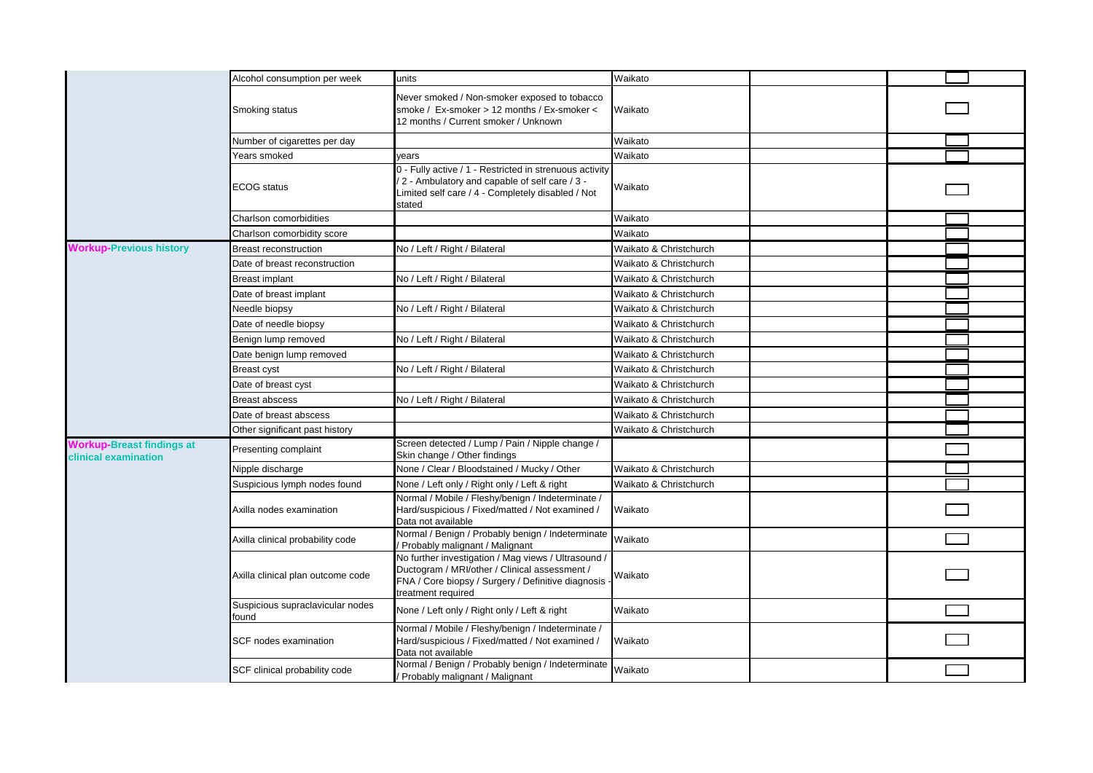|                                                          | Alcohol consumption per week              | units                                                                                                                                                                            | Waikato                |  |
|----------------------------------------------------------|-------------------------------------------|----------------------------------------------------------------------------------------------------------------------------------------------------------------------------------|------------------------|--|
|                                                          | Smoking status                            | Never smoked / Non-smoker exposed to tobacco<br>smoke / Ex-smoker > 12 months / Ex-smoker <<br>12 months / Current smoker / Unknown                                              | Waikato                |  |
|                                                          | Number of cigarettes per day              |                                                                                                                                                                                  | Waikato                |  |
|                                                          | Years smoked                              | vears                                                                                                                                                                            | Waikato                |  |
|                                                          | <b>ECOG</b> status                        | 0 - Fully active / 1 - Restricted in strenuous activity<br>2 - Ambulatory and capable of self care / 3 -<br>Limited self care / 4 - Completely disabled / Not<br>stated          | Waikato                |  |
|                                                          | Charlson comorbidities                    |                                                                                                                                                                                  | Waikato                |  |
|                                                          | Charlson comorbidity score                |                                                                                                                                                                                  | Waikato                |  |
| <b>Workup-Previous history</b>                           | Breast reconstruction                     | No / Left / Right / Bilateral                                                                                                                                                    | Waikato & Christchurch |  |
|                                                          | Date of breast reconstruction             |                                                                                                                                                                                  | Waikato & Christchurch |  |
|                                                          | <b>Breast implant</b>                     | No / Left / Right / Bilateral                                                                                                                                                    | Waikato & Christchurch |  |
|                                                          | Date of breast implant                    |                                                                                                                                                                                  | Waikato & Christchurch |  |
|                                                          | Needle biopsy                             | No / Left / Right / Bilateral                                                                                                                                                    | Waikato & Christchurch |  |
|                                                          | Date of needle biopsy                     |                                                                                                                                                                                  | Waikato & Christchurch |  |
|                                                          | Benign lump removed                       | No / Left / Right / Bilateral                                                                                                                                                    | Waikato & Christchurch |  |
|                                                          | Date benign lump removed                  |                                                                                                                                                                                  | Waikato & Christchurch |  |
|                                                          | Breast cyst                               | No / Left / Right / Bilateral                                                                                                                                                    | Waikato & Christchurch |  |
|                                                          | Date of breast cyst                       |                                                                                                                                                                                  | Waikato & Christchurch |  |
|                                                          | <b>Breast abscess</b>                     | No / Left / Right / Bilateral                                                                                                                                                    | Waikato & Christchurch |  |
|                                                          | Date of breast abscess                    |                                                                                                                                                                                  | Waikato & Christchurch |  |
|                                                          | Other significant past history            |                                                                                                                                                                                  | Waikato & Christchurch |  |
| <b>Workup-Breast findings at</b><br>clinical examination | Presenting complaint                      | Screen detected / Lump / Pain / Nipple change /<br>Skin change / Other findings                                                                                                  |                        |  |
|                                                          | Nipple discharge                          | None / Clear / Bloodstained / Mucky / Other                                                                                                                                      | Waikato & Christchurch |  |
|                                                          | Suspicious lymph nodes found              | None / Left only / Right only / Left & right                                                                                                                                     | Waikato & Christchurch |  |
|                                                          | Axilla nodes examination                  | Normal / Mobile / Fleshy/benign / Indeterminate /<br>Hard/suspicious / Fixed/matted / Not examined /<br>Data not available                                                       | Waikato                |  |
|                                                          | Axilla clinical probability code          | Normal / Benign / Probably benign / Indeterminate<br>Probably malignant / Malignant                                                                                              | Waikato                |  |
|                                                          | Axilla clinical plan outcome code         | No further investigation / Mag views / Ultrasound /<br>Ductogram / MRI/other / Clinical assessment /<br>FNA / Core biopsy / Surgery / Definitive diagnosis<br>treatment required | Waikato                |  |
|                                                          | Suspicious supraclavicular nodes<br>found | None / Left only / Right only / Left & right                                                                                                                                     | Waikato                |  |
|                                                          | SCF nodes examination                     | Normal / Mobile / Fleshy/benign / Indeterminate /<br>Hard/suspicious / Fixed/matted / Not examined /<br>Data not available                                                       | Waikato                |  |
|                                                          | SCF clinical probability code             | Normal / Benign / Probably benign / Indeterminate<br>Probably malignant / Malignant                                                                                              | Waikato                |  |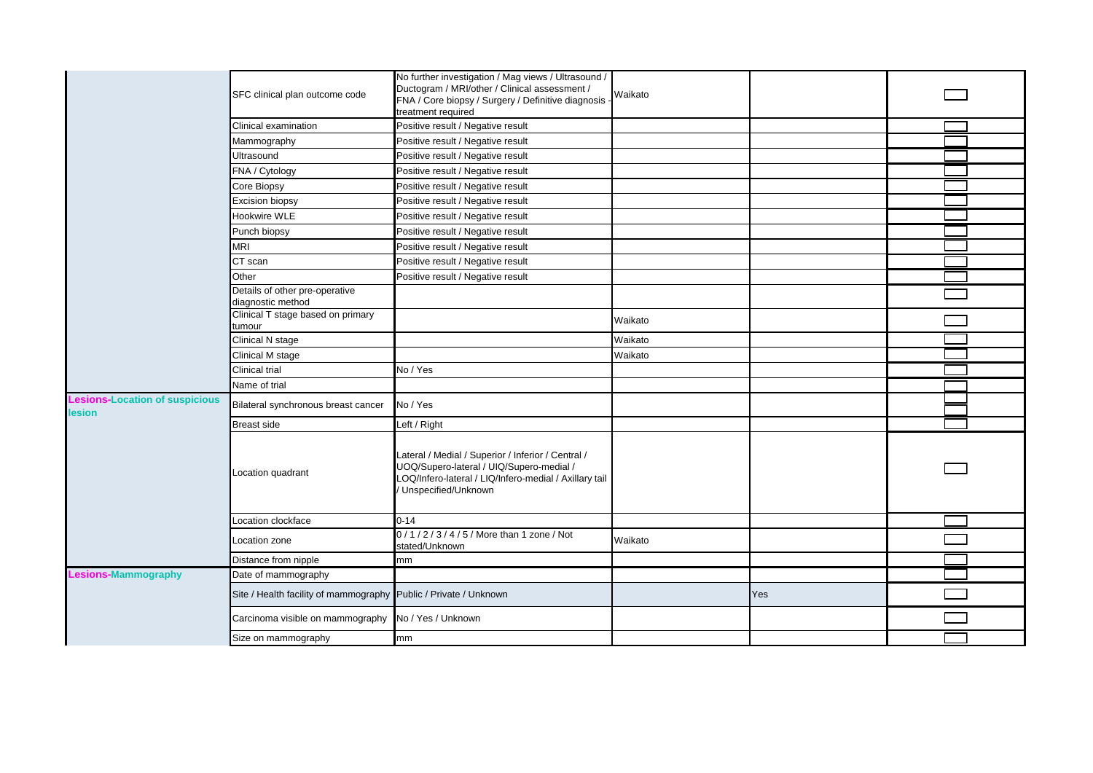|                                                | SFC clinical plan outcome code                                   | No further investigation / Mag views / Ultrasound /<br>Ductogram / MRI/other / Clinical assessment /<br>FNA / Core biopsy / Surgery / Definitive diagnosis                      | Waikato |     |  |
|------------------------------------------------|------------------------------------------------------------------|---------------------------------------------------------------------------------------------------------------------------------------------------------------------------------|---------|-----|--|
|                                                |                                                                  | treatment required                                                                                                                                                              |         |     |  |
|                                                | Clinical examination                                             | Positive result / Negative result                                                                                                                                               |         |     |  |
|                                                | Mammography                                                      | Positive result / Negative result                                                                                                                                               |         |     |  |
|                                                | Ultrasound                                                       | Positive result / Negative result                                                                                                                                               |         |     |  |
|                                                | FNA / Cytology                                                   | Positive result / Negative result                                                                                                                                               |         |     |  |
|                                                | Core Biopsy                                                      | Positive result / Negative result                                                                                                                                               |         |     |  |
|                                                | Excision biopsy                                                  | Positive result / Negative result                                                                                                                                               |         |     |  |
|                                                | Hookwire WLE                                                     | Positive result / Negative result                                                                                                                                               |         |     |  |
|                                                | Punch biopsy                                                     | Positive result / Negative result                                                                                                                                               |         |     |  |
|                                                | MRI                                                              | Positive result / Negative result                                                                                                                                               |         |     |  |
|                                                | CT scan                                                          | Positive result / Negative result                                                                                                                                               |         |     |  |
|                                                | Other                                                            | Positive result / Negative result                                                                                                                                               |         |     |  |
|                                                | Details of other pre-operative<br>diagnostic method              |                                                                                                                                                                                 |         |     |  |
|                                                | Clinical T stage based on primary<br>tumour                      |                                                                                                                                                                                 | Waikato |     |  |
|                                                | Clinical N stage                                                 |                                                                                                                                                                                 | Waikato |     |  |
|                                                | Clinical M stage                                                 |                                                                                                                                                                                 | Waikato |     |  |
|                                                | Clinical trial                                                   | No / Yes                                                                                                                                                                        |         |     |  |
|                                                | Name of trial                                                    |                                                                                                                                                                                 |         |     |  |
| esions-Location of suspicious<br><b>lesion</b> | Bilateral synchronous breast cancer                              | No / Yes                                                                                                                                                                        |         |     |  |
|                                                | Breast side                                                      | Left / Right                                                                                                                                                                    |         |     |  |
|                                                | Location quadrant                                                | Lateral / Medial / Superior / Inferior / Central /<br>UOQ/Supero-lateral / UIQ/Supero-medial /<br>LOQ/Infero-lateral / LIQ/Infero-medial / Axillary tail<br>Unspecified/Unknown |         |     |  |
|                                                | Location clockface                                               | $0 - 14$                                                                                                                                                                        |         |     |  |
|                                                | Location zone                                                    | 0/1/2/3/4/5/More than 1 zone / Not<br>stated/Unknown                                                                                                                            | Waikato |     |  |
|                                                | Distance from nipple                                             | mm                                                                                                                                                                              |         |     |  |
| <b>Lesions-Mammography</b>                     | Date of mammography                                              |                                                                                                                                                                                 |         |     |  |
|                                                | Site / Health facility of mammography Public / Private / Unknown |                                                                                                                                                                                 |         | Yes |  |
|                                                | Carcinoma visible on mammography                                 | No / Yes / Unknown                                                                                                                                                              |         |     |  |
|                                                | Size on mammography                                              | mm                                                                                                                                                                              |         |     |  |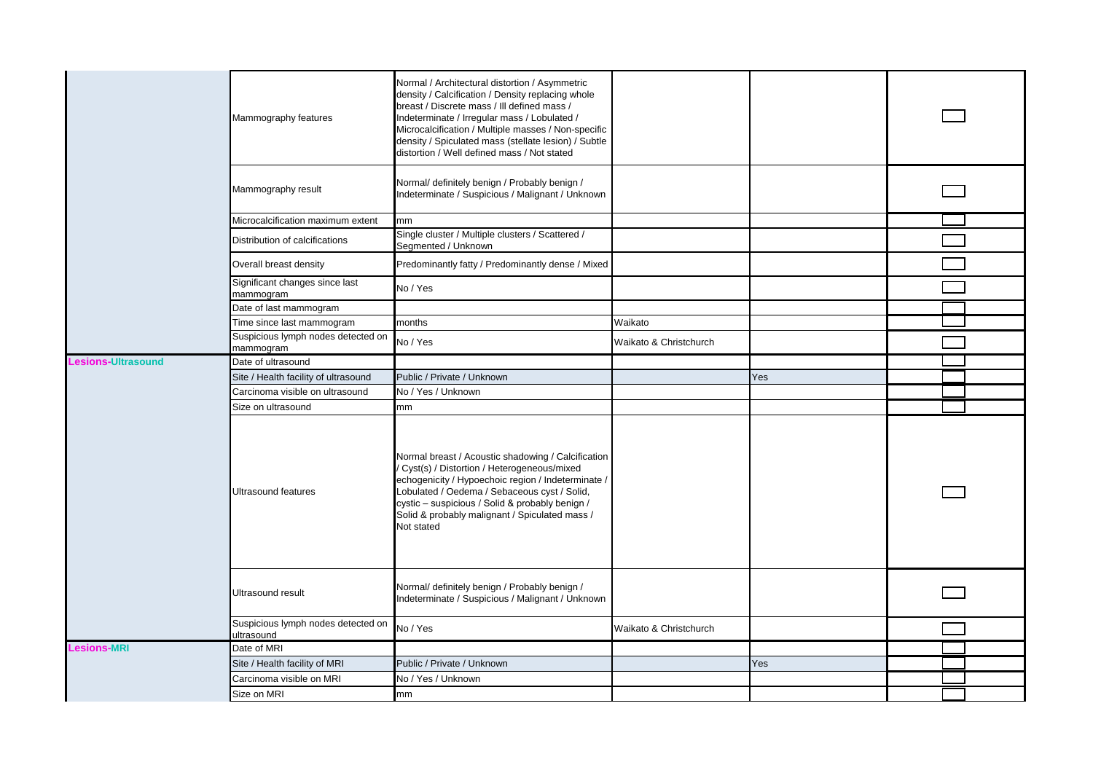|  |                    | Mammography features                                                                              | Normal / Architectural distortion / Asymmetric<br>density / Calcification / Density replacing whole<br>breast / Discrete mass / III defined mass /<br>Indeterminate / Irregular mass / Lobulated /<br>Microcalcification / Multiple masses / Non-specific<br>density / Spiculated mass (stellate lesion) / Subtle<br>distortion / Well defined mass / Not stated |                        |     |  |
|--|--------------------|---------------------------------------------------------------------------------------------------|------------------------------------------------------------------------------------------------------------------------------------------------------------------------------------------------------------------------------------------------------------------------------------------------------------------------------------------------------------------|------------------------|-----|--|
|  |                    | Mammography result                                                                                | Normal/ definitely benign / Probably benign /<br>Indeterminate / Suspicious / Malignant / Unknown                                                                                                                                                                                                                                                                |                        |     |  |
|  |                    | Microcalcification maximum extent                                                                 | mm                                                                                                                                                                                                                                                                                                                                                               |                        |     |  |
|  |                    | Distribution of calcifications                                                                    | Single cluster / Multiple clusters / Scattered /<br>Segmented / Unknown                                                                                                                                                                                                                                                                                          |                        |     |  |
|  |                    | Overall breast density                                                                            | Predominantly fatty / Predominantly dense / Mixed                                                                                                                                                                                                                                                                                                                |                        |     |  |
|  |                    | Significant changes since last<br>mammogram                                                       | No / Yes                                                                                                                                                                                                                                                                                                                                                         |                        |     |  |
|  |                    | Date of last mammogram                                                                            |                                                                                                                                                                                                                                                                                                                                                                  |                        |     |  |
|  |                    | Time since last mammogram                                                                         | months                                                                                                                                                                                                                                                                                                                                                           | Waikato                |     |  |
|  |                    | Suspicious lymph nodes detected on<br>mammogram                                                   | No / Yes                                                                                                                                                                                                                                                                                                                                                         | Waikato & Christchurch |     |  |
|  | Lesions-Ultrasound | Date of ultrasound                                                                                |                                                                                                                                                                                                                                                                                                                                                                  |                        |     |  |
|  |                    | Site / Health facility of ultrasound                                                              | Public / Private / Unknown                                                                                                                                                                                                                                                                                                                                       |                        | Yes |  |
|  |                    | Carcinoma visible on ultrasound                                                                   | No / Yes / Unknown                                                                                                                                                                                                                                                                                                                                               |                        |     |  |
|  |                    | Size on ultrasound                                                                                | mm                                                                                                                                                                                                                                                                                                                                                               |                        |     |  |
|  |                    | <b>Ultrasound features</b>                                                                        | Normal breast / Acoustic shadowing / Calcification<br>Cyst(s) / Distortion / Heterogeneous/mixed<br>echogenicity / Hypoechoic region / Indeterminate /<br>Lobulated / Oedema / Sebaceous cyst / Solid,<br>cystic - suspicious / Solid & probably benign /<br>Solid & probably malignant / Spiculated mass /<br>Not stated                                        |                        |     |  |
|  | Ultrasound result  | Normal/ definitely benign / Probably benign /<br>Indeterminate / Suspicious / Malignant / Unknown |                                                                                                                                                                                                                                                                                                                                                                  |                        |     |  |
|  |                    | Suspicious lymph nodes detected on<br>ultrasound                                                  | No / Yes                                                                                                                                                                                                                                                                                                                                                         | Waikato & Christchurch |     |  |
|  | <b>Lesions-MRI</b> | Date of MRI                                                                                       |                                                                                                                                                                                                                                                                                                                                                                  |                        |     |  |
|  |                    | Site / Health facility of MRI                                                                     | Public / Private / Unknown                                                                                                                                                                                                                                                                                                                                       |                        | Yes |  |
|  |                    |                                                                                                   |                                                                                                                                                                                                                                                                                                                                                                  |                        |     |  |
|  |                    | Carcinoma visible on MRI                                                                          | No / Yes / Unknown                                                                                                                                                                                                                                                                                                                                               |                        |     |  |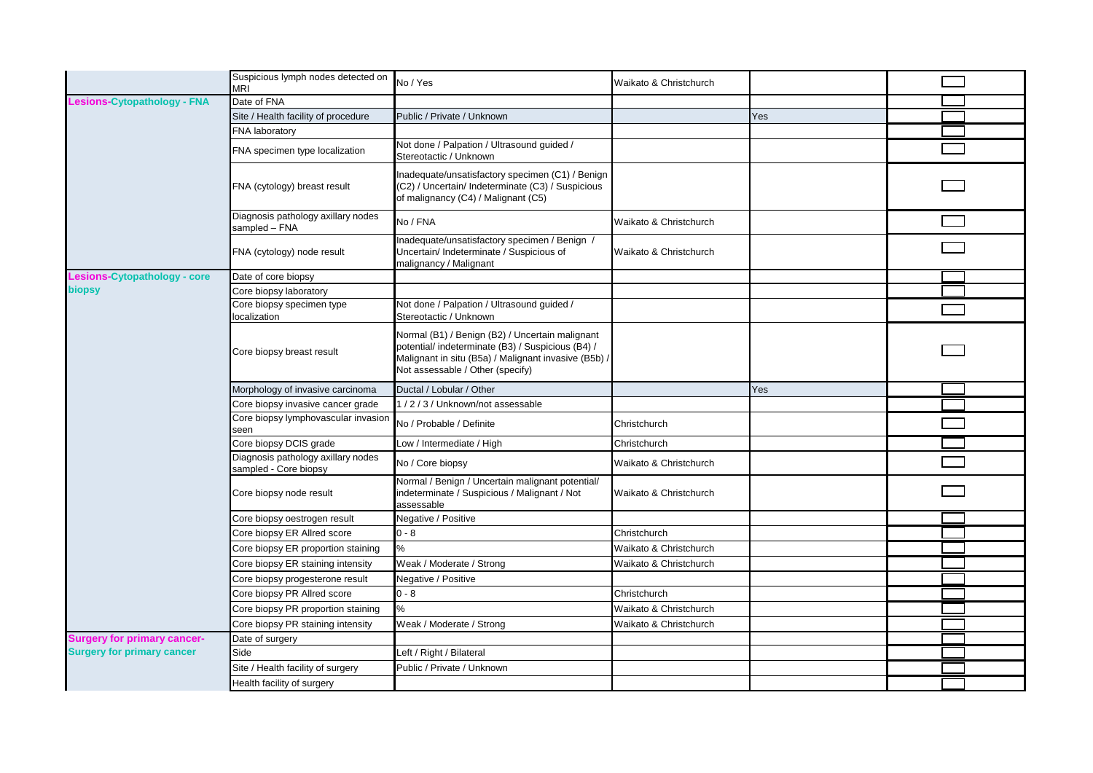|                                    | Suspicious lymph nodes detected on<br><b>MRI</b>            | No / Yes                                                                                                                                                                                         | Waikato & Christchurch |     |  |
|------------------------------------|-------------------------------------------------------------|--------------------------------------------------------------------------------------------------------------------------------------------------------------------------------------------------|------------------------|-----|--|
| Lesions-Cytopathology - FNA        | Date of FNA                                                 |                                                                                                                                                                                                  |                        |     |  |
|                                    | Site / Health facility of procedure                         | Public / Private / Unknown                                                                                                                                                                       |                        | Yes |  |
|                                    | FNA laboratory                                              |                                                                                                                                                                                                  |                        |     |  |
|                                    | FNA specimen type localization                              | Not done / Palpation / Ultrasound guided /<br>Stereotactic / Unknown                                                                                                                             |                        |     |  |
|                                    | FNA (cytology) breast result                                | Inadequate/unsatisfactory specimen (C1) / Benign<br>(C2) / Uncertain/ Indeterminate (C3) / Suspicious<br>of malignancy (C4) / Malignant (C5)                                                     |                        |     |  |
|                                    | Diagnosis pathology axillary nodes<br>sampled - FNA         | No / FNA                                                                                                                                                                                         | Waikato & Christchurch |     |  |
|                                    | FNA (cytology) node result                                  | Inadequate/unsatisfactory specimen / Benign /<br>Uncertain/ Indeterminate / Suspicious of<br>malignancy / Malignant                                                                              | Waikato & Christchurch |     |  |
| Lesions-Cytopathology - core       | Date of core biopsy                                         |                                                                                                                                                                                                  |                        |     |  |
| biopsy                             | Core biopsy laboratory                                      |                                                                                                                                                                                                  |                        |     |  |
|                                    | Core biopsy specimen type<br>localization                   | Not done / Palpation / Ultrasound guided /<br>Stereotactic / Unknown                                                                                                                             |                        |     |  |
|                                    | Core biopsy breast result                                   | Normal (B1) / Benign (B2) / Uncertain malignant<br>potential/ indeterminate (B3) / Suspicious (B4) /<br>Malignant in situ (B5a) / Malignant invasive (B5b) /<br>Not assessable / Other (specify) |                        |     |  |
|                                    | Morphology of invasive carcinoma                            | Ductal / Lobular / Other                                                                                                                                                                         |                        | Yes |  |
|                                    | Core biopsy invasive cancer grade                           | 1/2/3/Unknown/not assessable                                                                                                                                                                     |                        |     |  |
|                                    | Core biopsy lymphovascular invasion                         |                                                                                                                                                                                                  |                        |     |  |
|                                    | seen                                                        | No / Probable / Definite                                                                                                                                                                         | Christchurch           |     |  |
|                                    | Core biopsy DCIS grade                                      | Low / Intermediate / High                                                                                                                                                                        | Christchurch           |     |  |
|                                    | Diagnosis pathology axillary nodes<br>sampled - Core biopsy | No / Core biopsy                                                                                                                                                                                 | Waikato & Christchurch |     |  |
|                                    | Core biopsy node result                                     | Normal / Benign / Uncertain malignant potential/<br>indeterminate / Suspicious / Malignant / Not<br>assessable                                                                                   | Waikato & Christchurch |     |  |
|                                    | Core biopsy oestrogen result                                | Negative / Positive                                                                                                                                                                              |                        |     |  |
|                                    | Core biopsy ER Allred score                                 | $0 - 8$                                                                                                                                                                                          | Christchurch           |     |  |
|                                    | Core biopsy ER proportion staining                          | %                                                                                                                                                                                                | Waikato & Christchurch |     |  |
|                                    | Core biopsy ER staining intensity                           | Weak / Moderate / Strong                                                                                                                                                                         | Waikato & Christchurch |     |  |
|                                    | Core biopsy progesterone result                             | Negative / Positive                                                                                                                                                                              |                        |     |  |
|                                    | Core biopsy PR Allred score                                 | $0 - 8$                                                                                                                                                                                          | Christchurch           |     |  |
|                                    | Core biopsy PR proportion staining                          | %                                                                                                                                                                                                | Waikato & Christchurch |     |  |
|                                    | Core biopsy PR staining intensity                           | Weak / Moderate / Strong                                                                                                                                                                         | Waikato & Christchurch |     |  |
| <b>Surgery for primary cancer-</b> | Date of surgery                                             |                                                                                                                                                                                                  |                        |     |  |
| <b>Surgery for primary cancer</b>  | Side                                                        | Left / Right / Bilateral                                                                                                                                                                         |                        |     |  |
|                                    | Site / Health facility of surgery                           | Public / Private / Unknown                                                                                                                                                                       |                        |     |  |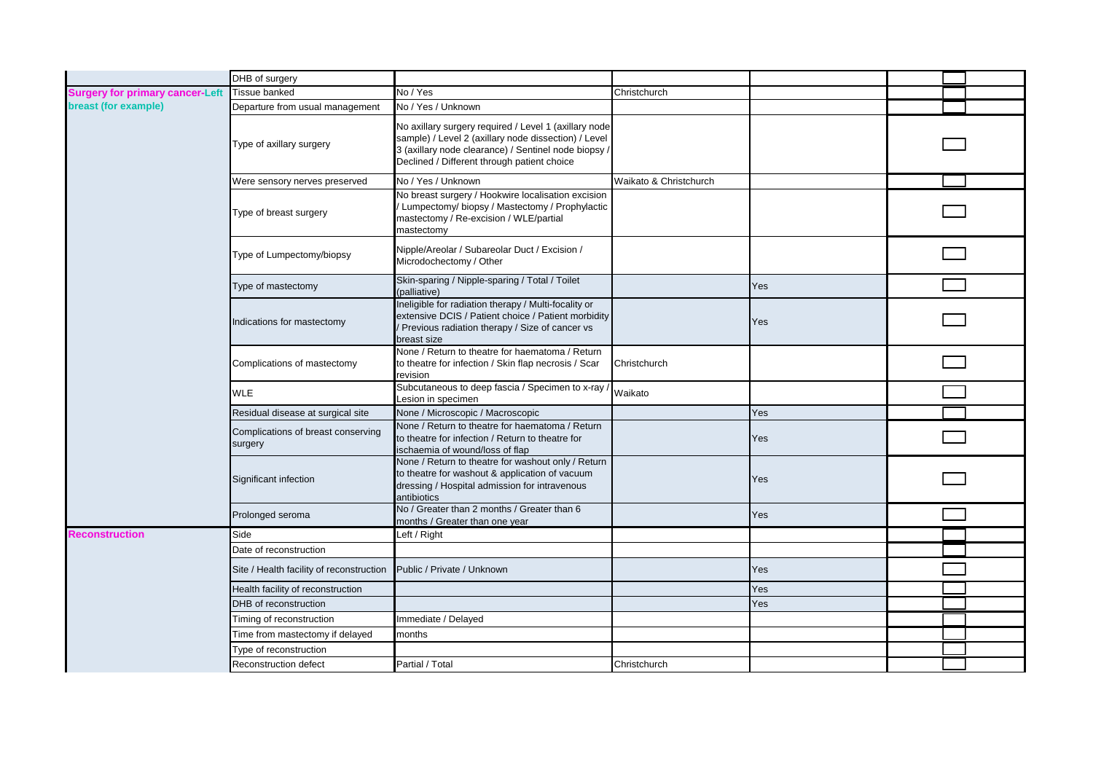|                                        | DHB of surgery                                |                                                                                                                                                                                                                      |                        |            |  |
|----------------------------------------|-----------------------------------------------|----------------------------------------------------------------------------------------------------------------------------------------------------------------------------------------------------------------------|------------------------|------------|--|
| <b>Surgery for primary cancer-Left</b> | Tissue banked                                 | No / Yes                                                                                                                                                                                                             | Christchurch           |            |  |
| breast (for example)                   | Departure from usual management               | No / Yes / Unknown                                                                                                                                                                                                   |                        |            |  |
|                                        | Type of axillary surgery                      | No axillary surgery required / Level 1 (axillary node<br>sample) / Level 2 (axillary node dissection) / Level<br>3 (axillary node clearance) / Sentinel node biopsy /<br>Declined / Different through patient choice |                        |            |  |
|                                        | Were sensory nerves preserved                 | No / Yes / Unknown                                                                                                                                                                                                   | Waikato & Christchurch |            |  |
|                                        | Type of breast surgery                        | No breast surgery / Hookwire localisation excision<br>/ Lumpectomy/ biopsy / Mastectomy / Prophylactic<br>mastectomy / Re-excision / WLE/partial<br>mastectomy                                                       |                        |            |  |
|                                        | Type of Lumpectomy/biopsy                     | Nipple/Areolar / Subareolar Duct / Excision /<br>Microdochectomy / Other                                                                                                                                             |                        |            |  |
|                                        | Type of mastectomy                            | Skin-sparing / Nipple-sparing / Total / Toilet<br>(palliative)                                                                                                                                                       |                        | Yes        |  |
|                                        | Indications for mastectomy                    | Ineligible for radiation therapy / Multi-focality or<br>extensive DCIS / Patient choice / Patient morbidity<br>Previous radiation therapy / Size of cancer vs<br>breast size                                         |                        | Yes        |  |
|                                        | Complications of mastectomy                   | None / Return to theatre for haematoma / Return<br>to theatre for infection / Skin flap necrosis / Scar<br>revision                                                                                                  | Christchurch           |            |  |
|                                        | <b>WLE</b>                                    | Subcutaneous to deep fascia / Specimen to x-ray /<br>Lesion in specimen                                                                                                                                              | Waikato                |            |  |
|                                        | Residual disease at surgical site             | None / Microscopic / Macroscopic                                                                                                                                                                                     |                        | Yes        |  |
|                                        | Complications of breast conserving<br>surgery | None / Return to theatre for haematoma / Return<br>to theatre for infection / Return to theatre for<br>ischaemia of wound/loss of flap                                                                               |                        | Yes        |  |
|                                        | Significant infection                         | None / Return to theatre for washout only / Return<br>to theatre for washout & application of vacuum<br>dressing / Hospital admission for intravenous<br>antibiotics                                                 |                        | Yes        |  |
|                                        | Prolonged seroma                              | No / Greater than 2 months / Greater than 6<br>months / Greater than one year                                                                                                                                        |                        | Yes        |  |
| <b>Reconstruction</b>                  | Side                                          | Left / Right                                                                                                                                                                                                         |                        |            |  |
|                                        | Date of reconstruction                        |                                                                                                                                                                                                                      |                        |            |  |
|                                        | Site / Health facility of reconstruction      | Public / Private / Unknown                                                                                                                                                                                           |                        | <b>Yes</b> |  |
|                                        | Health facility of reconstruction             |                                                                                                                                                                                                                      |                        | Yes        |  |
|                                        | DHB of reconstruction                         |                                                                                                                                                                                                                      |                        | Yes        |  |
|                                        | Timing of reconstruction                      | Immediate / Delayed                                                                                                                                                                                                  |                        |            |  |
|                                        | Time from mastectomy if delayed               | months                                                                                                                                                                                                               |                        |            |  |
|                                        | Type of reconstruction                        |                                                                                                                                                                                                                      |                        |            |  |
|                                        | Reconstruction defect                         | Partial / Total                                                                                                                                                                                                      | Christchurch           |            |  |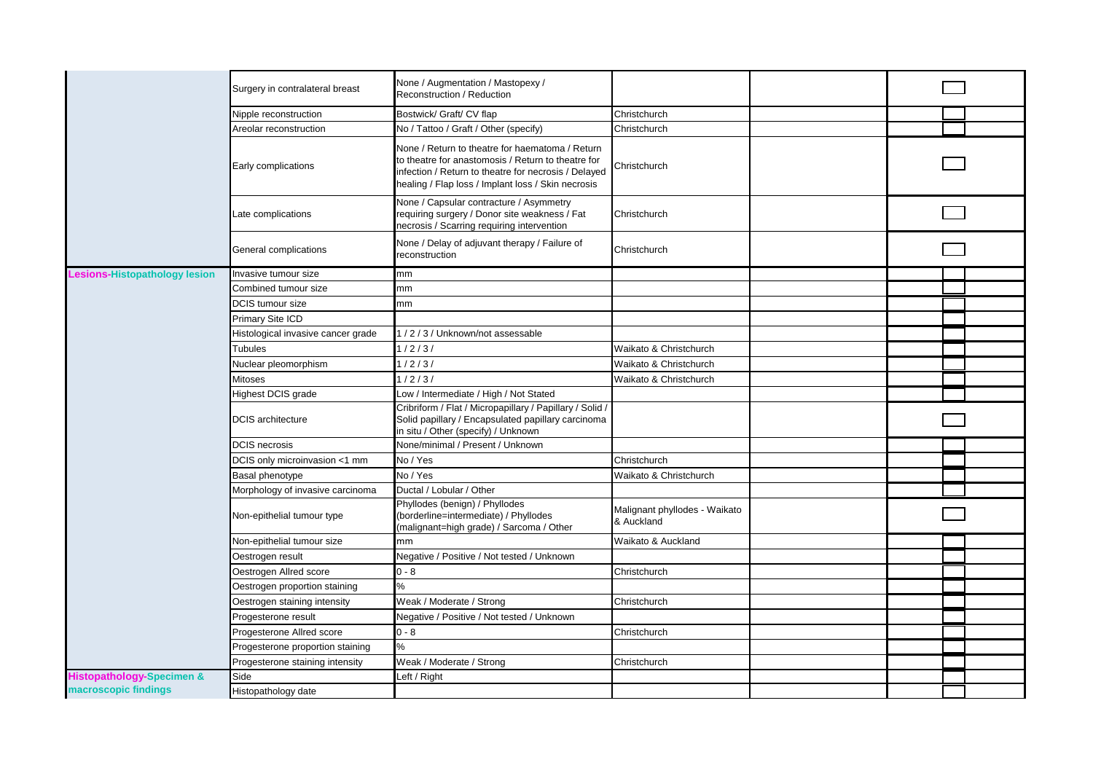|                                      | Surgery in contralateral breast    | None / Augmentation / Mastopexy /<br>Reconstruction / Reduction                                                                                                                                                     |                                             |  |  |
|--------------------------------------|------------------------------------|---------------------------------------------------------------------------------------------------------------------------------------------------------------------------------------------------------------------|---------------------------------------------|--|--|
|                                      | Nipple reconstruction              | Bostwick/ Graft/ CV flap                                                                                                                                                                                            | Christchurch                                |  |  |
|                                      | Areolar reconstruction             | No / Tattoo / Graft / Other (specify)                                                                                                                                                                               | Christchurch                                |  |  |
|                                      | Early complications                | None / Return to theatre for haematoma / Return<br>to theatre for anastomosis / Return to theatre for<br>infection / Return to theatre for necrosis / Delayed<br>healing / Flap loss / Implant loss / Skin necrosis | Christchurch                                |  |  |
|                                      | Late complications                 | None / Capsular contracture / Asymmetry<br>requiring surgery / Donor site weakness / Fat<br>necrosis / Scarring requiring intervention                                                                              | Christchurch                                |  |  |
|                                      | General complications              | None / Delay of adjuvant therapy / Failure of<br>reconstruction                                                                                                                                                     | Christchurch                                |  |  |
| <b>Lesions-Histopathology lesion</b> | Invasive tumour size               | mm                                                                                                                                                                                                                  |                                             |  |  |
|                                      | Combined tumour size               | mm                                                                                                                                                                                                                  |                                             |  |  |
|                                      | DCIS tumour size                   | mm                                                                                                                                                                                                                  |                                             |  |  |
|                                      | Primary Site ICD                   |                                                                                                                                                                                                                     |                                             |  |  |
|                                      | Histological invasive cancer grade | 1/2/3/Unknown/not assessable                                                                                                                                                                                        |                                             |  |  |
|                                      | Tubules                            | 1/2/3/                                                                                                                                                                                                              | Waikato & Christchurch                      |  |  |
|                                      | Nuclear pleomorphism               | 1/2/3/                                                                                                                                                                                                              | Waikato & Christchurch                      |  |  |
|                                      | Mitoses                            | 1/2/3/                                                                                                                                                                                                              | Waikato & Christchurch                      |  |  |
|                                      | Highest DCIS grade                 | Low / Intermediate / High / Not Stated                                                                                                                                                                              |                                             |  |  |
|                                      | <b>DCIS</b> architecture           | Cribriform / Flat / Micropapillary / Papillary / Solid /<br>Solid papillary / Encapsulated papillary carcinoma<br>in situ / Other (specify) / Unknown                                                               |                                             |  |  |
|                                      | <b>DCIS</b> necrosis               | None/minimal / Present / Unknown                                                                                                                                                                                    |                                             |  |  |
|                                      | DCIS only microinvasion <1 mm      | No / Yes                                                                                                                                                                                                            | Christchurch                                |  |  |
|                                      | Basal phenotype                    | No / Yes                                                                                                                                                                                                            | Waikato & Christchurch                      |  |  |
|                                      | Morphology of invasive carcinoma   | Ductal / Lobular / Other                                                                                                                                                                                            |                                             |  |  |
|                                      | Non-epithelial tumour type         | Phyllodes (benign) / Phyllodes<br>(borderline=intermediate) / Phyllodes<br>(malignant=high grade) / Sarcoma / Other                                                                                                 | Malignant phyllodes - Waikato<br>& Auckland |  |  |
|                                      | Non-epithelial tumour size         | mm                                                                                                                                                                                                                  | Waikato & Auckland                          |  |  |
|                                      | Oestrogen result                   | Negative / Positive / Not tested / Unknown                                                                                                                                                                          |                                             |  |  |
|                                      | Oestrogen Allred score             | $0 - 8$                                                                                                                                                                                                             | Christchurch                                |  |  |
|                                      | Oestrogen proportion staining      | $\%$                                                                                                                                                                                                                |                                             |  |  |
|                                      | Oestrogen staining intensity       | Weak / Moderate / Strong                                                                                                                                                                                            | Christchurch                                |  |  |
|                                      | Progesterone result                | Negative / Positive / Not tested / Unknown                                                                                                                                                                          |                                             |  |  |
|                                      | Progesterone Allred score          | $0 - 8$                                                                                                                                                                                                             | Christchurch                                |  |  |
|                                      | Progesterone proportion staining   | $\%$                                                                                                                                                                                                                |                                             |  |  |
|                                      | Progesterone staining intensity    | Weak / Moderate / Strong                                                                                                                                                                                            | Christchurch                                |  |  |
| <b>Histopathology-Specimen &amp;</b> | Side                               | Left / Right                                                                                                                                                                                                        |                                             |  |  |
| macroscopic findings                 | Histopathology date                |                                                                                                                                                                                                                     |                                             |  |  |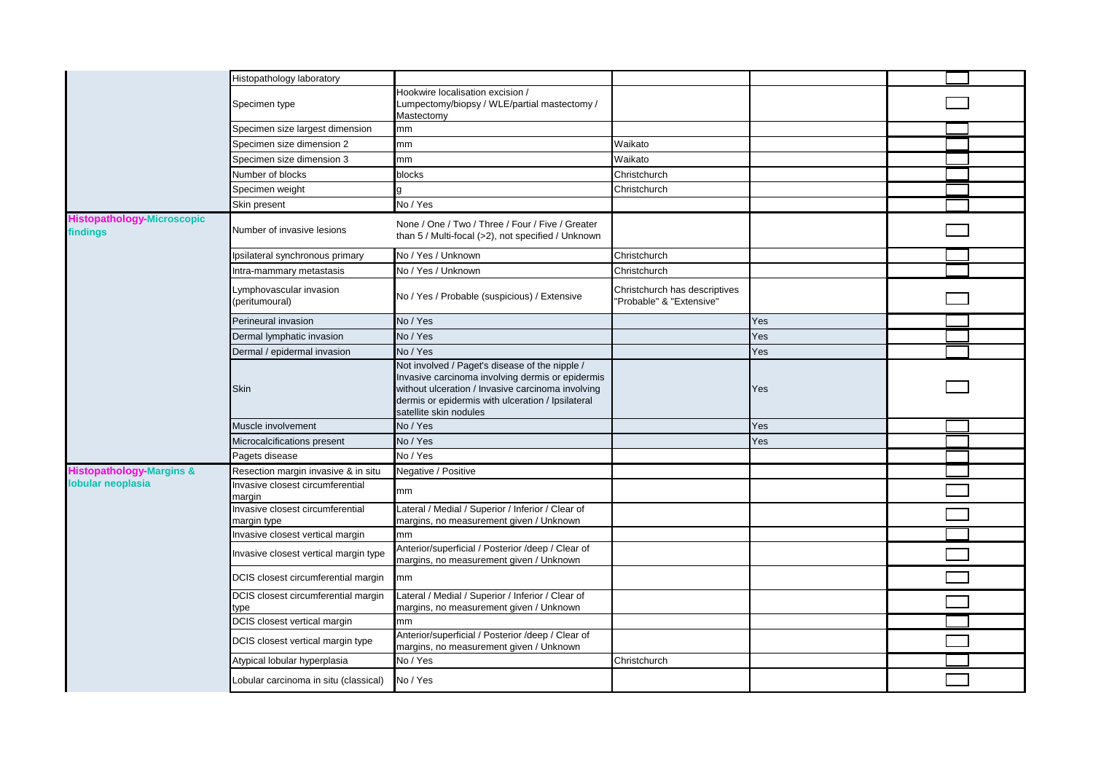|                                               | Histopathology laboratory                       |                                                                                                                                                                                                                                        |                                                           |     |  |
|-----------------------------------------------|-------------------------------------------------|----------------------------------------------------------------------------------------------------------------------------------------------------------------------------------------------------------------------------------------|-----------------------------------------------------------|-----|--|
|                                               | Specimen type                                   | Hookwire localisation excision /<br>Lumpectomy/biopsy / WLE/partial mastectomy /<br>Mastectomy                                                                                                                                         |                                                           |     |  |
|                                               | Specimen size largest dimension                 | mm                                                                                                                                                                                                                                     |                                                           |     |  |
|                                               | Specimen size dimension 2                       | mm                                                                                                                                                                                                                                     | Waikato                                                   |     |  |
|                                               | Specimen size dimension 3                       | mm                                                                                                                                                                                                                                     | Waikato                                                   |     |  |
|                                               | Number of blocks                                | blocks                                                                                                                                                                                                                                 | Christchurch                                              |     |  |
|                                               | Specimen weight                                 |                                                                                                                                                                                                                                        | Christchurch                                              |     |  |
|                                               | Skin present                                    | No / Yes                                                                                                                                                                                                                               |                                                           |     |  |
| <b>Histopathology-Microscopic</b><br>findings | Number of invasive lesions                      | None / One / Two / Three / Four / Five / Greater<br>than 5 / Multi-focal (>2), not specified / Unknown                                                                                                                                 |                                                           |     |  |
|                                               | Ipsilateral synchronous primary                 | No / Yes / Unknown                                                                                                                                                                                                                     | Christchurch                                              |     |  |
|                                               | Intra-mammary metastasis                        | No / Yes / Unknown                                                                                                                                                                                                                     | Christchurch                                              |     |  |
|                                               | Lymphovascular invasion<br>(peritumoural)       | No / Yes / Probable (suspicious) / Extensive                                                                                                                                                                                           | Christchurch has descriptives<br>'Probable" & "Extensive" |     |  |
|                                               | Perineural invasion                             | No / Yes                                                                                                                                                                                                                               |                                                           | Yes |  |
|                                               | Dermal lymphatic invasion                       | No / Yes                                                                                                                                                                                                                               |                                                           | Yes |  |
|                                               | Dermal / epidermal invasion                     | No / Yes                                                                                                                                                                                                                               |                                                           | Yes |  |
|                                               | <b>Skin</b>                                     | Not involved / Paget's disease of the nipple /<br>Invasive carcinoma involving dermis or epidermis<br>without ulceration / Invasive carcinoma involving<br>dermis or epidermis with ulceration / Ipsilateral<br>satellite skin nodules |                                                           | Yes |  |
|                                               | Muscle involvement                              | No / Yes                                                                                                                                                                                                                               |                                                           | Yes |  |
|                                               | Microcalcifications present                     | No / Yes                                                                                                                                                                                                                               |                                                           | Yes |  |
|                                               | Pagets disease                                  | No / Yes                                                                                                                                                                                                                               |                                                           |     |  |
| <b>Histopathology-Margins &amp;</b>           | Resection margin invasive & in situ             | Negative / Positive                                                                                                                                                                                                                    |                                                           |     |  |
| lobular neoplasia                             | Invasive closest circumferential<br>margin      | mm                                                                                                                                                                                                                                     |                                                           |     |  |
|                                               | Invasive closest circumferential<br>margin type | Lateral / Medial / Superior / Inferior / Clear of<br>margins, no measurement given / Unknown                                                                                                                                           |                                                           |     |  |
|                                               | Invasive closest vertical margin                | mm                                                                                                                                                                                                                                     |                                                           |     |  |
|                                               | Invasive closest vertical margin type           | Anterior/superficial / Posterior /deep / Clear of<br>margins, no measurement given / Unknown                                                                                                                                           |                                                           |     |  |
|                                               | DCIS closest circumferential margin             | mm                                                                                                                                                                                                                                     |                                                           |     |  |
|                                               | DCIS closest circumferential margin<br>type     | Lateral / Medial / Superior / Inferior / Clear of<br>margins, no measurement given / Unknown                                                                                                                                           |                                                           |     |  |
|                                               | DCIS closest vertical margin                    | mm.                                                                                                                                                                                                                                    |                                                           |     |  |
|                                               | DCIS closest vertical margin type               | Anterior/superficial / Posterior /deep / Clear of<br>margins, no measurement given / Unknown                                                                                                                                           |                                                           |     |  |
|                                               | Atypical lobular hyperplasia                    | No / Yes                                                                                                                                                                                                                               | Christchurch                                              |     |  |
|                                               | Lobular carcinoma in situ (classical)           | No / Yes                                                                                                                                                                                                                               |                                                           |     |  |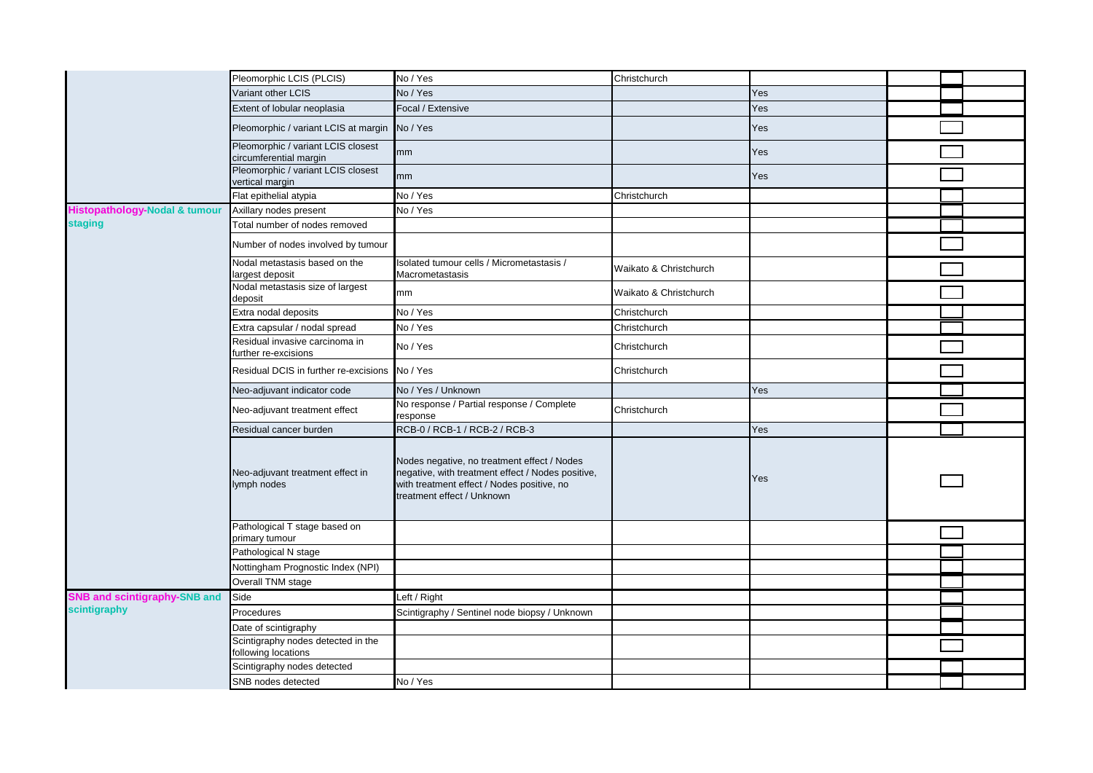|                                          | Pleomorphic LCIS (PLCIS)                                     | No / Yes                                                                                                                                                                     | Christchurch           |     |  |
|------------------------------------------|--------------------------------------------------------------|------------------------------------------------------------------------------------------------------------------------------------------------------------------------------|------------------------|-----|--|
|                                          | Variant other LCIS                                           | No / Yes                                                                                                                                                                     |                        | Yes |  |
|                                          | Extent of lobular neoplasia                                  | Focal / Extensive                                                                                                                                                            |                        | Yes |  |
|                                          | Pleomorphic / variant LCIS at margin No / Yes                |                                                                                                                                                                              |                        | Yes |  |
|                                          | Pleomorphic / variant LCIS closest<br>circumferential margin | mm                                                                                                                                                                           |                        | Yes |  |
|                                          | Pleomorphic / variant LCIS closest<br>vertical margin        | mm                                                                                                                                                                           |                        | Yes |  |
|                                          | Flat epithelial atypia                                       | No / Yes                                                                                                                                                                     | Christchurch           |     |  |
| <b>Histopathology-Nodal &amp; tumour</b> | Axillary nodes present                                       | No / Yes                                                                                                                                                                     |                        |     |  |
| <b>staging</b>                           | Total number of nodes removed                                |                                                                                                                                                                              |                        |     |  |
|                                          | Number of nodes involved by tumour                           |                                                                                                                                                                              |                        |     |  |
|                                          | Nodal metastasis based on the<br>largest deposit             | Isolated tumour cells / Micrometastasis /<br>Macrometastasis                                                                                                                 | Waikato & Christchurch |     |  |
|                                          | Nodal metastasis size of largest<br>deposit                  | mm                                                                                                                                                                           | Waikato & Christchurch |     |  |
|                                          | Extra nodal deposits                                         | No / Yes                                                                                                                                                                     | Christchurch           |     |  |
|                                          | Extra capsular / nodal spread                                | No / Yes                                                                                                                                                                     | Christchurch           |     |  |
|                                          | Residual invasive carcinoma in<br>further re-excisions       | No / Yes                                                                                                                                                                     | Christchurch           |     |  |
|                                          | Residual DCIS in further re-excisions                        | No / Yes                                                                                                                                                                     | Christchurch           |     |  |
|                                          | Neo-adjuvant indicator code                                  | No / Yes / Unknown                                                                                                                                                           |                        | Yes |  |
|                                          | Neo-adjuvant treatment effect                                | No response / Partial response / Complete<br>response                                                                                                                        | Christchurch           |     |  |
|                                          | Residual cancer burden                                       | RCB-0 / RCB-1 / RCB-2 / RCB-3                                                                                                                                                |                        | Yes |  |
|                                          | Neo-adjuvant treatment effect in<br>lymph nodes              | Nodes negative, no treatment effect / Nodes<br>negative, with treatment effect / Nodes positive,<br>with treatment effect / Nodes positive, no<br>treatment effect / Unknown |                        | Yes |  |
|                                          | Pathological T stage based on<br>primary tumour              |                                                                                                                                                                              |                        |     |  |
|                                          | Pathological N stage                                         |                                                                                                                                                                              |                        |     |  |
|                                          | Nottingham Prognostic Index (NPI)                            |                                                                                                                                                                              |                        |     |  |
|                                          | Overall TNM stage                                            |                                                                                                                                                                              |                        |     |  |
| <b>SNB and scintigraphy-SNB and</b>      | Side                                                         | Left / Right                                                                                                                                                                 |                        |     |  |
| scintigraphy                             | Procedures                                                   | Scintigraphy / Sentinel node biopsy / Unknown                                                                                                                                |                        |     |  |
|                                          | Date of scintigraphy                                         |                                                                                                                                                                              |                        |     |  |
|                                          | Scintigraphy nodes detected in the<br>following locations    |                                                                                                                                                                              |                        |     |  |
|                                          | Scintigraphy nodes detected                                  |                                                                                                                                                                              |                        |     |  |
|                                          | SNB nodes detected                                           | No / Yes                                                                                                                                                                     |                        |     |  |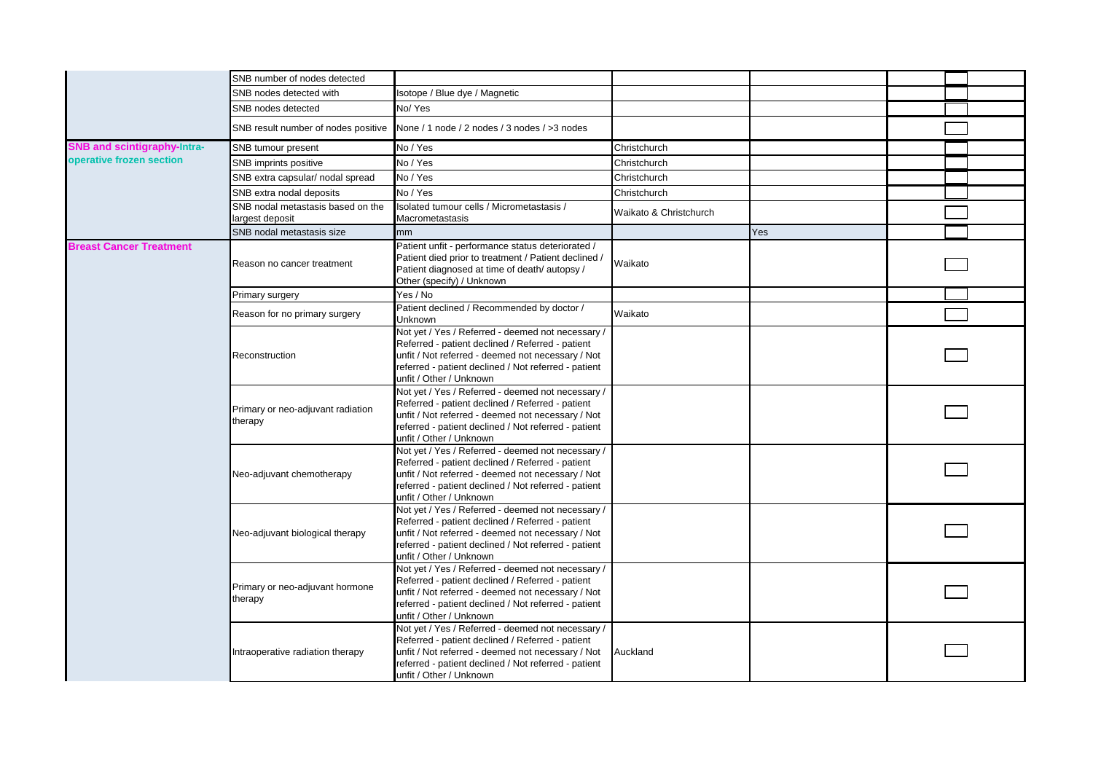|                                    | SNB number of nodes detected                         |                                                                                                                                                                                                                                               |                        |     |  |
|------------------------------------|------------------------------------------------------|-----------------------------------------------------------------------------------------------------------------------------------------------------------------------------------------------------------------------------------------------|------------------------|-----|--|
|                                    | SNB nodes detected with                              | Isotope / Blue dye / Magnetic                                                                                                                                                                                                                 |                        |     |  |
|                                    | SNB nodes detected                                   | No/Yes                                                                                                                                                                                                                                        |                        |     |  |
|                                    | SNB result number of nodes positive                  | None / 1 node / 2 nodes / 3 nodes / > 3 nodes                                                                                                                                                                                                 |                        |     |  |
| <b>SNB and scintigraphy-Intra-</b> | SNB tumour present                                   | No / Yes                                                                                                                                                                                                                                      | Christchurch           |     |  |
| operative frozen section           | SNB imprints positive                                | No / Yes                                                                                                                                                                                                                                      | Christchurch           |     |  |
|                                    | SNB extra capsular/ nodal spread                     | No / Yes                                                                                                                                                                                                                                      | Christchurch           |     |  |
|                                    | SNB extra nodal deposits                             | No / Yes                                                                                                                                                                                                                                      | Christchurch           |     |  |
|                                    | SNB nodal metastasis based on the<br>largest deposit | Isolated tumour cells / Micrometastasis /<br>Macrometastasis                                                                                                                                                                                  | Waikato & Christchurch |     |  |
|                                    | SNB nodal metastasis size                            | mm.                                                                                                                                                                                                                                           |                        | Yes |  |
| <b>Breast Cancer Treatment</b>     | Reason no cancer treatment                           | Patient unfit - performance status deteriorated /<br>Patient died prior to treatment / Patient declined /<br>Patient diagnosed at time of death/autopsy/<br>Other (specify) / Unknown                                                         | Waikato                |     |  |
|                                    | Primary surgery                                      | Yes / No                                                                                                                                                                                                                                      |                        |     |  |
|                                    | Reason for no primary surgery                        | Patient declined / Recommended by doctor /<br>Unknown                                                                                                                                                                                         | Waikato                |     |  |
|                                    | Reconstruction                                       | Not yet / Yes / Referred - deemed not necessary /<br>Referred - patient declined / Referred - patient<br>unfit / Not referred - deemed not necessary / Not<br>referred - patient declined / Not referred - patient<br>unfit / Other / Unknown |                        |     |  |
|                                    | Primary or neo-adjuvant radiation<br>therapy         | Not yet / Yes / Referred - deemed not necessary /<br>Referred - patient declined / Referred - patient<br>unfit / Not referred - deemed not necessary / Not<br>referred - patient declined / Not referred - patient<br>unfit / Other / Unknown |                        |     |  |
|                                    | Neo-adjuvant chemotherapy                            | Not yet / Yes / Referred - deemed not necessary /<br>Referred - patient declined / Referred - patient<br>unfit / Not referred - deemed not necessary / Not<br>referred - patient declined / Not referred - patient<br>unfit / Other / Unknown |                        |     |  |
|                                    | Neo-adjuvant biological therapy                      | Not yet / Yes / Referred - deemed not necessary /<br>Referred - patient declined / Referred - patient<br>unfit / Not referred - deemed not necessary / Not<br>referred - patient declined / Not referred - patient<br>unfit / Other / Unknown |                        |     |  |
|                                    | Primary or neo-adjuvant hormone<br>therapy           | Not yet / Yes / Referred - deemed not necessary /<br>Referred - patient declined / Referred - patient<br>unfit / Not referred - deemed not necessary / Not<br>referred - patient declined / Not referred - patient<br>unfit / Other / Unknown |                        |     |  |
|                                    | Intraoperative radiation therapy                     | Not yet / Yes / Referred - deemed not necessary /<br>Referred - patient declined / Referred - patient<br>unfit / Not referred - deemed not necessary / Not<br>referred - patient declined / Not referred - patient<br>unfit / Other / Unknown | Auckland               |     |  |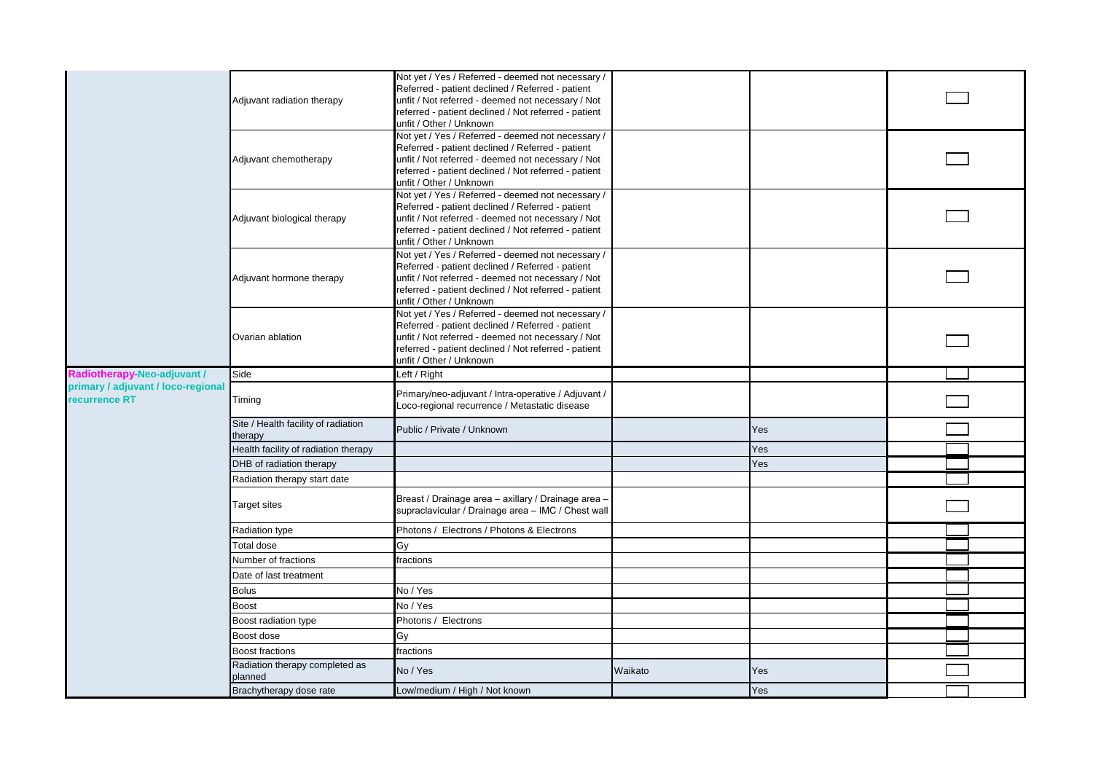|                                    |                                           | Not yet / Yes / Referred - deemed not necessary /                                                         |         |     |  |
|------------------------------------|-------------------------------------------|-----------------------------------------------------------------------------------------------------------|---------|-----|--|
|                                    |                                           | Referred - patient declined / Referred - patient                                                          |         |     |  |
|                                    | Adjuvant radiation therapy                | unfit / Not referred - deemed not necessary / Not<br>referred - patient declined / Not referred - patient |         |     |  |
|                                    |                                           | unfit / Other / Unknown                                                                                   |         |     |  |
|                                    |                                           | Not yet / Yes / Referred - deemed not necessary /                                                         |         |     |  |
|                                    |                                           | Referred - patient declined / Referred - patient                                                          |         |     |  |
|                                    | Adjuvant chemotherapy                     | unfit / Not referred - deemed not necessary / Not                                                         |         |     |  |
|                                    |                                           | referred - patient declined / Not referred - patient                                                      |         |     |  |
|                                    |                                           | unfit / Other / Unknown<br>Not yet / Yes / Referred - deemed not necessary /                              |         |     |  |
|                                    |                                           | Referred - patient declined / Referred - patient                                                          |         |     |  |
|                                    | Adjuvant biological therapy               | unfit / Not referred - deemed not necessary / Not                                                         |         |     |  |
|                                    |                                           | referred - patient declined / Not referred - patient                                                      |         |     |  |
|                                    |                                           | unfit / Other / Unknown                                                                                   |         |     |  |
|                                    |                                           | Not yet / Yes / Referred - deemed not necessary /<br>Referred - patient declined / Referred - patient     |         |     |  |
|                                    | Adjuvant hormone therapy                  | unfit / Not referred - deemed not necessary / Not                                                         |         |     |  |
|                                    |                                           | referred - patient declined / Not referred - patient                                                      |         |     |  |
|                                    |                                           | unfit / Other / Unknown                                                                                   |         |     |  |
|                                    |                                           | Not yet / Yes / Referred - deemed not necessary /                                                         |         |     |  |
|                                    | Ovarian ablation                          | Referred - patient declined / Referred - patient<br>unfit / Not referred - deemed not necessary / Not     |         |     |  |
|                                    |                                           | referred - patient declined / Not referred - patient                                                      |         |     |  |
|                                    |                                           | unfit / Other / Unknown                                                                                   |         |     |  |
| Radiotherapy-Neo-adjuvant /        | Side                                      | Left / Right                                                                                              |         |     |  |
| primary / adjuvant / loco-regional |                                           | Primary/neo-adjuvant / Intra-operative / Adjuvant /                                                       |         |     |  |
| recurrence RT                      | Timing                                    | Loco-regional recurrence / Metastatic disease                                                             |         |     |  |
|                                    | Site / Health facility of radiation       | Public / Private / Unknown                                                                                |         | Yes |  |
|                                    | therapy                                   |                                                                                                           |         |     |  |
|                                    | Health facility of radiation therapy      |                                                                                                           |         | Yes |  |
|                                    | DHB of radiation therapy                  |                                                                                                           |         | Yes |  |
|                                    | Radiation therapy start date              |                                                                                                           |         |     |  |
|                                    | <b>Target sites</b>                       | Breast / Drainage area - axillary / Drainage area -                                                       |         |     |  |
|                                    |                                           | supraclavicular / Drainage area - IMC / Chest wall                                                        |         |     |  |
|                                    | Radiation type                            | Photons / Electrons / Photons & Electrons                                                                 |         |     |  |
|                                    | Total dose                                | Gy                                                                                                        |         |     |  |
|                                    | Number of fractions                       | fractions                                                                                                 |         |     |  |
|                                    | Date of last treatment                    |                                                                                                           |         |     |  |
|                                    | <b>Bolus</b>                              | No / Yes                                                                                                  |         |     |  |
|                                    | <b>Boost</b>                              | No / Yes                                                                                                  |         |     |  |
|                                    | Boost radiation type                      | Photons / Electrons                                                                                       |         |     |  |
|                                    | Boost dose                                | Gy                                                                                                        |         |     |  |
|                                    | Boost fractions                           | fractions                                                                                                 |         |     |  |
|                                    | Radiation therapy completed as<br>planned | No / Yes                                                                                                  | Waikato | Yes |  |
|                                    | Brachytherapy dose rate                   | Low/medium / High / Not known                                                                             |         | Yes |  |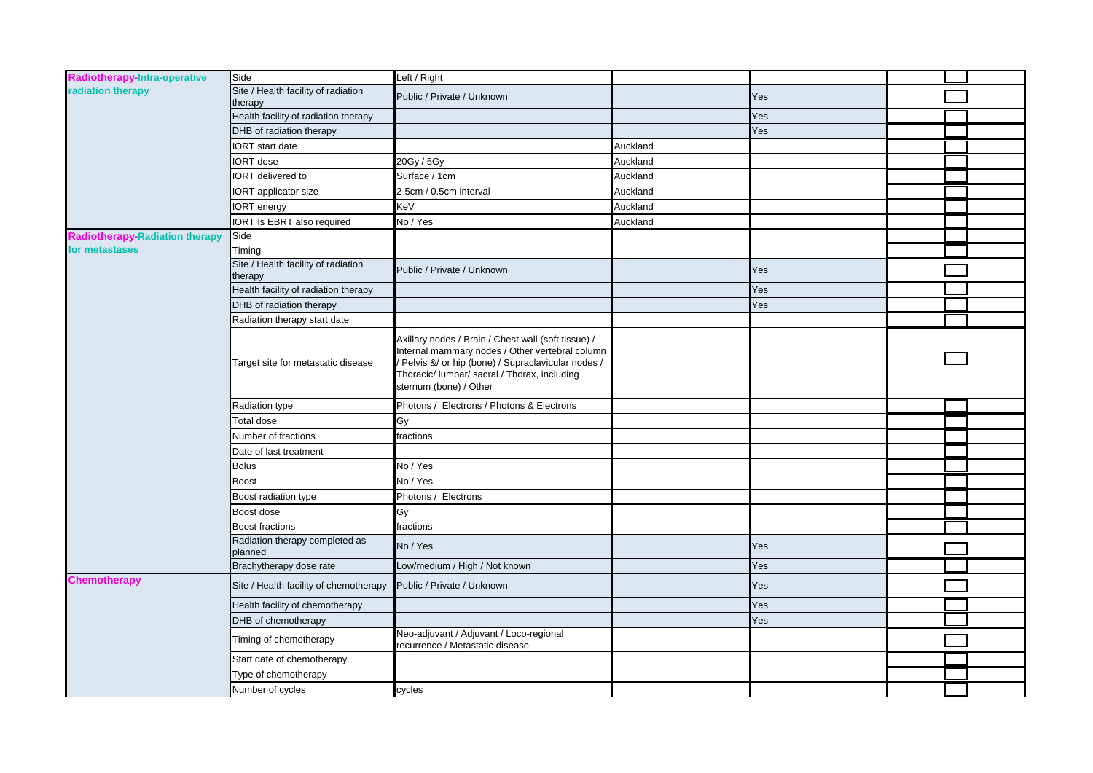| Radiotherapy-Intra-operative          | Side                                           | Left / Right                                                                                                                                                                                                                          |          |     |  |
|---------------------------------------|------------------------------------------------|---------------------------------------------------------------------------------------------------------------------------------------------------------------------------------------------------------------------------------------|----------|-----|--|
| radiation therapy                     | Site / Health facility of radiation<br>therapy | Public / Private / Unknown                                                                                                                                                                                                            |          | Yes |  |
|                                       | Health facility of radiation therapy           |                                                                                                                                                                                                                                       |          | Yes |  |
|                                       | DHB of radiation therapy                       |                                                                                                                                                                                                                                       |          | Yes |  |
|                                       | IORT start date                                |                                                                                                                                                                                                                                       | Auckland |     |  |
|                                       | IORT dose                                      | 20Gy / 5Gy                                                                                                                                                                                                                            | Auckland |     |  |
|                                       | <b>IORT</b> delivered to                       | Surface / 1cm                                                                                                                                                                                                                         | Auckland |     |  |
|                                       | <b>IORT</b> applicator size                    | 2-5cm / 0.5cm interval                                                                                                                                                                                                                | Auckland |     |  |
|                                       | IORT energy                                    | KeV                                                                                                                                                                                                                                   | Auckland |     |  |
|                                       | <b>IORT Is EBRT also required</b>              | No / Yes                                                                                                                                                                                                                              | Auckland |     |  |
| <b>Radiotherapy-Radiation therapy</b> | Side                                           |                                                                                                                                                                                                                                       |          |     |  |
| for metastases                        | Timing                                         |                                                                                                                                                                                                                                       |          |     |  |
|                                       | Site / Health facility of radiation<br>therapy | Public / Private / Unknown                                                                                                                                                                                                            |          | Yes |  |
|                                       | Health facility of radiation therapy           |                                                                                                                                                                                                                                       |          | Yes |  |
|                                       | DHB of radiation therapy                       |                                                                                                                                                                                                                                       |          | Yes |  |
|                                       | Radiation therapy start date                   |                                                                                                                                                                                                                                       |          |     |  |
|                                       | Target site for metastatic disease             | Axillary nodes / Brain / Chest wall (soft tissue) /<br>Internal mammary nodes / Other vertebral column<br>Pelvis &/ or hip (bone) / Supraclavicular nodes /<br>Thoracic/ lumbar/ sacral / Thorax, including<br>sternum (bone) / Other |          |     |  |
|                                       | Radiation type                                 | Photons / Electrons / Photons & Electrons                                                                                                                                                                                             |          |     |  |
|                                       | Total dose                                     | Gy                                                                                                                                                                                                                                    |          |     |  |
|                                       | Number of fractions                            | fractions                                                                                                                                                                                                                             |          |     |  |
|                                       | Date of last treatment                         |                                                                                                                                                                                                                                       |          |     |  |
|                                       | <b>Bolus</b>                                   | No / Yes                                                                                                                                                                                                                              |          |     |  |
|                                       | <b>Boost</b>                                   | No / Yes                                                                                                                                                                                                                              |          |     |  |
|                                       | Boost radiation type                           | Photons / Electrons                                                                                                                                                                                                                   |          |     |  |
|                                       | Boost dose                                     | Gy                                                                                                                                                                                                                                    |          |     |  |
|                                       | <b>Boost fractions</b>                         | fractions                                                                                                                                                                                                                             |          |     |  |
|                                       | Radiation therapy completed as<br>planned      | No / Yes                                                                                                                                                                                                                              |          | Yes |  |
|                                       | Brachytherapy dose rate                        | Low/medium / High / Not known                                                                                                                                                                                                         |          | Yes |  |
| <b>Chemotherapy</b>                   | Site / Health facility of chemotherapy         | Public / Private / Unknown                                                                                                                                                                                                            |          | Yes |  |
|                                       | Health facility of chemotherapy                |                                                                                                                                                                                                                                       |          | Yes |  |
|                                       | DHB of chemotherapy                            |                                                                                                                                                                                                                                       |          | Yes |  |
|                                       | Timing of chemotherapy                         | Neo-adjuvant / Adjuvant / Loco-regional<br>recurrence / Metastatic disease                                                                                                                                                            |          |     |  |
|                                       | Start date of chemotherapy                     |                                                                                                                                                                                                                                       |          |     |  |
|                                       | Type of chemotherapy                           |                                                                                                                                                                                                                                       |          |     |  |
|                                       | Number of cycles                               | cycles                                                                                                                                                                                                                                |          |     |  |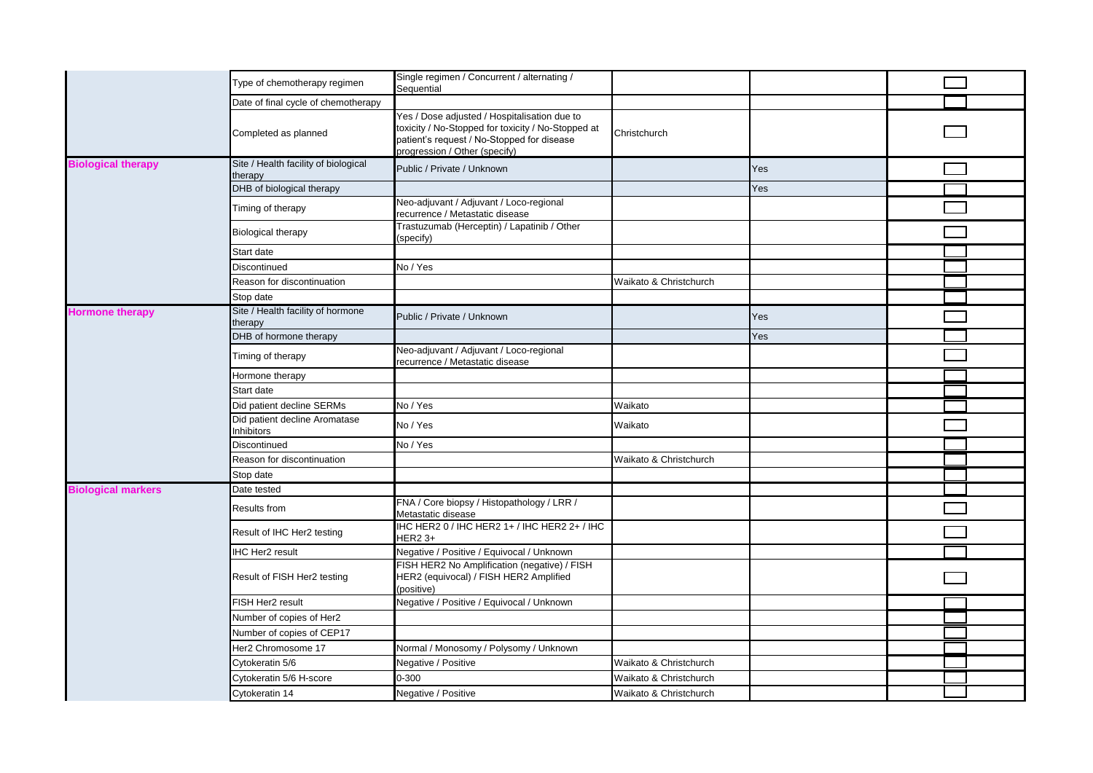|                           | Type of chemotherapy regimen                    | Single regimen / Concurrent / alternating /<br>Sequential                                                                                                                         |                        |     |  |
|---------------------------|-------------------------------------------------|-----------------------------------------------------------------------------------------------------------------------------------------------------------------------------------|------------------------|-----|--|
|                           | Date of final cycle of chemotherapy             |                                                                                                                                                                                   |                        |     |  |
|                           | Completed as planned                            | Yes / Dose adjusted / Hospitalisation due to<br>toxicity / No-Stopped for toxicity / No-Stopped at<br>patient's request / No-Stopped for disease<br>progression / Other (specify) | Christchurch           |     |  |
| <b>Biological therapy</b> | Site / Health facility of biological<br>therapy | Public / Private / Unknown                                                                                                                                                        |                        | Yes |  |
|                           | DHB of biological therapy                       |                                                                                                                                                                                   |                        | Yes |  |
|                           | Timing of therapy                               | Neo-adjuvant / Adjuvant / Loco-regional<br>recurrence / Metastatic disease                                                                                                        |                        |     |  |
|                           | <b>Biological therapy</b>                       | Trastuzumab (Herceptin) / Lapatinib / Other<br>(specify)                                                                                                                          |                        |     |  |
|                           | Start date                                      |                                                                                                                                                                                   |                        |     |  |
|                           | Discontinued                                    | No / Yes                                                                                                                                                                          |                        |     |  |
|                           | Reason for discontinuation                      |                                                                                                                                                                                   | Waikato & Christchurch |     |  |
|                           | Stop date                                       |                                                                                                                                                                                   |                        |     |  |
| <b>Hormone therapy</b>    | Site / Health facility of hormone<br>therapy    | Public / Private / Unknown                                                                                                                                                        |                        | Yes |  |
|                           | DHB of hormone therapy                          |                                                                                                                                                                                   |                        | Yes |  |
|                           | Timing of therapy                               | Neo-adjuvant / Adjuvant / Loco-regional<br>recurrence / Metastatic disease                                                                                                        |                        |     |  |
|                           | Hormone therapy                                 |                                                                                                                                                                                   |                        |     |  |
|                           | Start date                                      |                                                                                                                                                                                   |                        |     |  |
|                           | Did patient decline SERMs                       | No / Yes                                                                                                                                                                          | Waikato                |     |  |
|                           | Did patient decline Aromatase<br>Inhibitors     | No / Yes                                                                                                                                                                          | Waikato                |     |  |
|                           | Discontinued                                    | No / Yes                                                                                                                                                                          |                        |     |  |
|                           | Reason for discontinuation                      |                                                                                                                                                                                   | Waikato & Christchurch |     |  |
|                           | Stop date                                       |                                                                                                                                                                                   |                        |     |  |
| <b>Biological markers</b> | Date tested                                     |                                                                                                                                                                                   |                        |     |  |
|                           | Results from                                    | FNA / Core biopsy / Histopathology / LRR /<br>Metastatic disease                                                                                                                  |                        |     |  |
|                           | Result of IHC Her2 testing                      | IHC HER2 0 / IHC HER2 1+ / IHC HER2 2+ / IHC<br><b>HER2 3+</b>                                                                                                                    |                        |     |  |
|                           | <b>HC Her2 result</b>                           | Negative / Positive / Equivocal / Unknown                                                                                                                                         |                        |     |  |
|                           | Result of FISH Her2 testing                     | FISH HER2 No Amplification (negative) / FISH<br>HER2 (equivocal) / FISH HER2 Amplified<br>(positive)                                                                              |                        |     |  |
|                           | FISH Her2 result                                | Negative / Positive / Equivocal / Unknown                                                                                                                                         |                        |     |  |
|                           | Number of copies of Her2                        |                                                                                                                                                                                   |                        |     |  |
|                           | Number of copies of CEP17                       |                                                                                                                                                                                   |                        |     |  |
|                           | Her2 Chromosome 17                              | Normal / Monosomy / Polysomy / Unknown                                                                                                                                            |                        |     |  |
|                           | Cytokeratin 5/6                                 | Negative / Positive                                                                                                                                                               | Waikato & Christchurch |     |  |
|                           | Cytokeratin 5/6 H-score                         | 0-300                                                                                                                                                                             | Waikato & Christchurch |     |  |
|                           | Cytokeratin 14                                  | Negative / Positive                                                                                                                                                               | Waikato & Christchurch |     |  |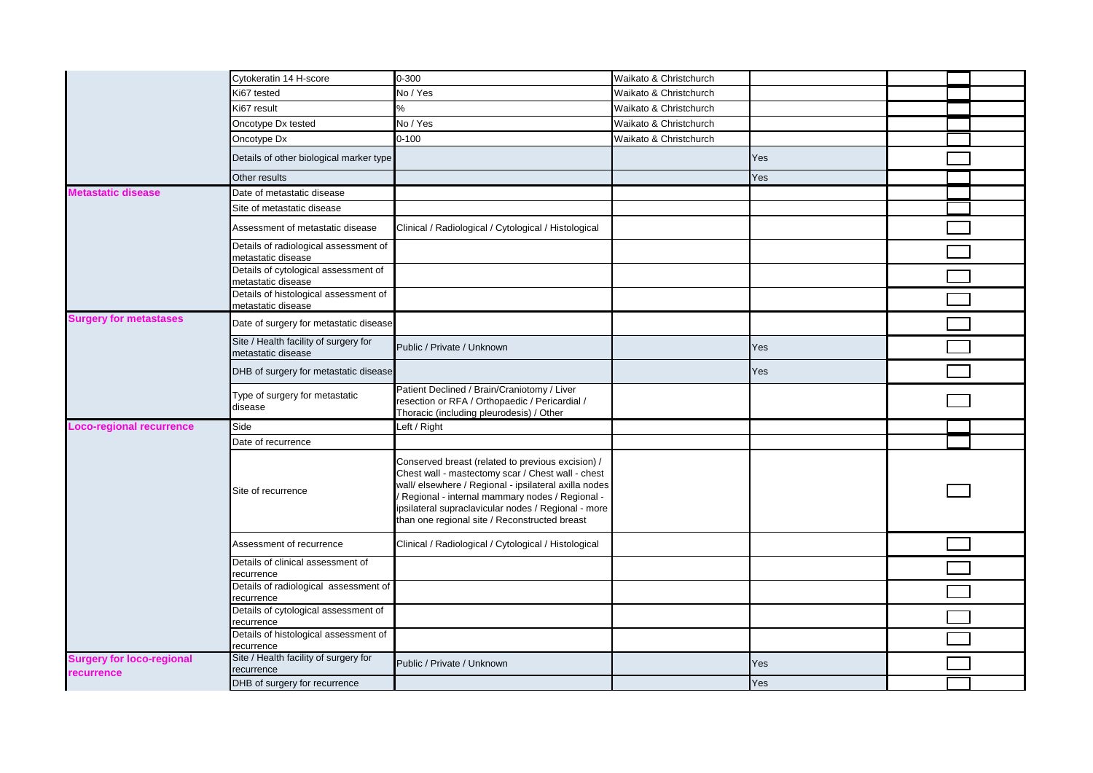|                                                       | Cytokeratin 14 H-score                                      | 0-300                                                                                                                                                                                                                                                                                                                     | Waikato & Christchurch |     |  |
|-------------------------------------------------------|-------------------------------------------------------------|---------------------------------------------------------------------------------------------------------------------------------------------------------------------------------------------------------------------------------------------------------------------------------------------------------------------------|------------------------|-----|--|
|                                                       | Ki67 tested                                                 | No / Yes                                                                                                                                                                                                                                                                                                                  | Waikato & Christchurch |     |  |
|                                                       | Ki67 result                                                 | $\%$                                                                                                                                                                                                                                                                                                                      | Waikato & Christchurch |     |  |
|                                                       | Oncotype Dx tested                                          | No / Yes                                                                                                                                                                                                                                                                                                                  | Waikato & Christchurch |     |  |
|                                                       | Oncotype Dx                                                 | $0 - 100$                                                                                                                                                                                                                                                                                                                 | Waikato & Christchurch |     |  |
|                                                       | Details of other biological marker type                     |                                                                                                                                                                                                                                                                                                                           |                        | Yes |  |
|                                                       | Other results                                               |                                                                                                                                                                                                                                                                                                                           |                        | Yes |  |
| Metastatic disease                                    | Date of metastatic disease                                  |                                                                                                                                                                                                                                                                                                                           |                        |     |  |
|                                                       | Site of metastatic disease                                  |                                                                                                                                                                                                                                                                                                                           |                        |     |  |
|                                                       | Assessment of metastatic disease                            | Clinical / Radiological / Cytological / Histological                                                                                                                                                                                                                                                                      |                        |     |  |
|                                                       | Details of radiological assessment of<br>metastatic disease |                                                                                                                                                                                                                                                                                                                           |                        |     |  |
|                                                       | Details of cytological assessment of<br>metastatic disease  |                                                                                                                                                                                                                                                                                                                           |                        |     |  |
|                                                       | Details of histological assessment of<br>metastatic disease |                                                                                                                                                                                                                                                                                                                           |                        |     |  |
| <b>Surgery for metastases</b>                         | Date of surgery for metastatic disease                      |                                                                                                                                                                                                                                                                                                                           |                        |     |  |
|                                                       | Site / Health facility of surgery for<br>metastatic disease | Public / Private / Unknown                                                                                                                                                                                                                                                                                                |                        | Yes |  |
|                                                       | DHB of surgery for metastatic disease                       |                                                                                                                                                                                                                                                                                                                           |                        | Yes |  |
|                                                       | Type of surgery for metastatic<br>disease                   | Patient Declined / Brain/Craniotomy / Liver<br>resection or RFA / Orthopaedic / Pericardial /<br>Thoracic (including pleurodesis) / Other                                                                                                                                                                                 |                        |     |  |
| <b>Loco-regional recurrence</b>                       | Side                                                        | Left / Right                                                                                                                                                                                                                                                                                                              |                        |     |  |
|                                                       | Date of recurrence                                          |                                                                                                                                                                                                                                                                                                                           |                        |     |  |
|                                                       | Site of recurrence                                          | Conserved breast (related to previous excision) /<br>Chest wall - mastectomy scar / Chest wall - chest<br>wall/ elsewhere / Regional - ipsilateral axilla nodes<br>Regional - internal mammary nodes / Regional -<br>ipsilateral supraclavicular nodes / Regional - more<br>than one regional site / Reconstructed breast |                        |     |  |
|                                                       | Assessment of recurrence                                    | Clinical / Radiological / Cytological / Histological                                                                                                                                                                                                                                                                      |                        |     |  |
|                                                       | Details of clinical assessment of<br>recurrence             |                                                                                                                                                                                                                                                                                                                           |                        |     |  |
|                                                       | Details of radiological assessment of<br>recurrence         |                                                                                                                                                                                                                                                                                                                           |                        |     |  |
|                                                       | Details of cytological assessment of<br>recurrence          |                                                                                                                                                                                                                                                                                                                           |                        |     |  |
|                                                       | Details of histological assessment of<br>recurrence         |                                                                                                                                                                                                                                                                                                                           |                        |     |  |
| <b>Surgery for loco-regional</b><br><b>recurrence</b> | Site / Health facility of surgery for<br>recurrence         | Public / Private / Unknown                                                                                                                                                                                                                                                                                                |                        | Yes |  |
|                                                       | DHB of surgery for recurrence                               |                                                                                                                                                                                                                                                                                                                           |                        | Yes |  |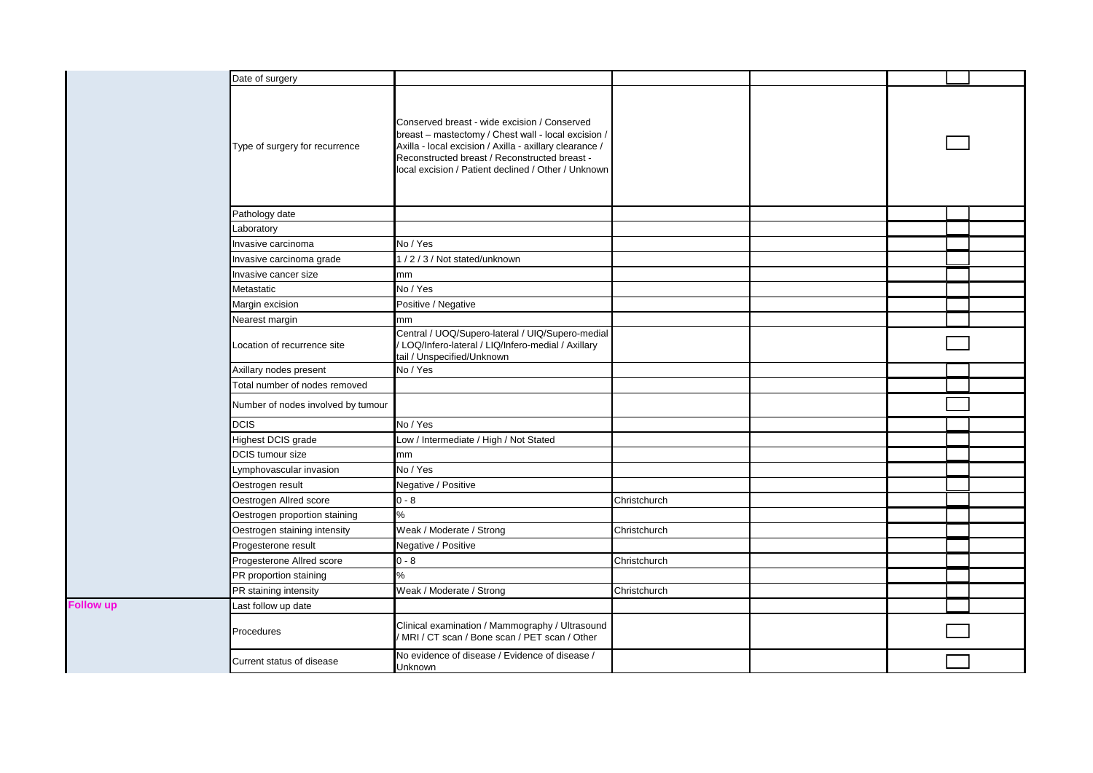| Date of surgery                    |                                                                                                                                                                                                                                                                        |              |  |  |
|------------------------------------|------------------------------------------------------------------------------------------------------------------------------------------------------------------------------------------------------------------------------------------------------------------------|--------------|--|--|
| Type of surgery for recurrence     | Conserved breast - wide excision / Conserved<br>breast - mastectomy / Chest wall - local excision /<br>Axilla - local excision / Axilla - axillary clearance /<br>Reconstructed breast / Reconstructed breast -<br>local excision / Patient declined / Other / Unknown |              |  |  |
| Pathology date                     |                                                                                                                                                                                                                                                                        |              |  |  |
| _aboratory                         |                                                                                                                                                                                                                                                                        |              |  |  |
| Invasive carcinoma                 | No / Yes                                                                                                                                                                                                                                                               |              |  |  |
| Invasive carcinoma grade           | 1/2/3/Not stated/unknown                                                                                                                                                                                                                                               |              |  |  |
| Invasive cancer size               | mm                                                                                                                                                                                                                                                                     |              |  |  |
| Metastatic                         | No / Yes                                                                                                                                                                                                                                                               |              |  |  |
| Margin excision                    | Positive / Negative                                                                                                                                                                                                                                                    |              |  |  |
| Nearest margin                     | mm                                                                                                                                                                                                                                                                     |              |  |  |
| Location of recurrence site        | Central / UOQ/Supero-lateral / UIQ/Supero-medial<br>LOQ/Infero-lateral / LIQ/Infero-medial / Axillary<br>tail / Unspecified/Unknown                                                                                                                                    |              |  |  |
| Axillary nodes present             | No / Yes                                                                                                                                                                                                                                                               |              |  |  |
| Total number of nodes removed      |                                                                                                                                                                                                                                                                        |              |  |  |
| Number of nodes involved by tumour |                                                                                                                                                                                                                                                                        |              |  |  |
| <b>DCIS</b>                        | No / Yes                                                                                                                                                                                                                                                               |              |  |  |
| Highest DCIS grade                 | Low / Intermediate / High / Not Stated                                                                                                                                                                                                                                 |              |  |  |
| DCIS tumour size                   | mm                                                                                                                                                                                                                                                                     |              |  |  |
| Lymphovascular invasion            | No / Yes                                                                                                                                                                                                                                                               |              |  |  |
| Oestrogen result                   | Negative / Positive                                                                                                                                                                                                                                                    |              |  |  |
| Oestrogen Allred score             | $0 - 8$                                                                                                                                                                                                                                                                | Christchurch |  |  |
| Oestrogen proportion staining      | %                                                                                                                                                                                                                                                                      |              |  |  |
| Oestrogen staining intensity       | Weak / Moderate / Strong                                                                                                                                                                                                                                               | Christchurch |  |  |
| Progesterone result                | Negative / Positive                                                                                                                                                                                                                                                    |              |  |  |
| Progesterone Allred score          | $0 - 8$                                                                                                                                                                                                                                                                | Christchurch |  |  |
| PR proportion staining             | $\%$                                                                                                                                                                                                                                                                   |              |  |  |
| PR staining intensity              | Weak / Moderate / Strong                                                                                                                                                                                                                                               | Christchurch |  |  |
| Last follow up date                |                                                                                                                                                                                                                                                                        |              |  |  |
| Procedures                         | Clinical examination / Mammography / Ultrasound<br>/ MRI / CT scan / Bone scan / PET scan / Other                                                                                                                                                                      |              |  |  |
| Current status of disease          | No evidence of disease / Evidence of disease /<br>Unknown                                                                                                                                                                                                              |              |  |  |

**Follow up**